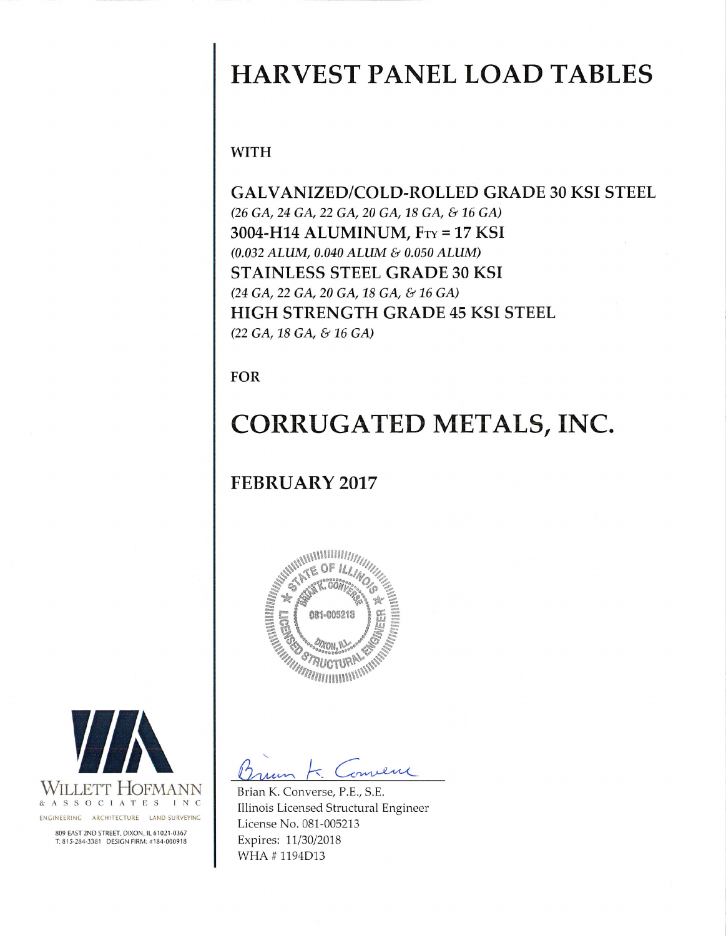# **HARVEST PANEL LOAD TABLES**

**WITH** 

**GALVANIZED/COLD-ROLLED GRADE 30 KSI STEEL** (26 GA, 24 GA, 22 GA, 20 GA, 18 GA, & 16 GA) 3004-H14 ALUMINUM, FTY = 17 KSI (0.032 ALUM, 0.040 ALUM & 0.050 ALUM) STAINLESS STEEL GRADE 30 KSI (24 GA, 22 GA, 20 GA, 18 GA, & 16 GA) HIGH STRENGTH GRADE 45 KSI STEEL (22 GA, 18 GA, & 16 GA)

**FOR** 

# CORRUGATED METALS, INC.

## **FEBRUARY 2017**



milene

Brian K. Converse, P.E., S.E. Illinois Licensed Structural Engineer License No. 081-005213 Expires: 11/30/2018 WHA #1194D13

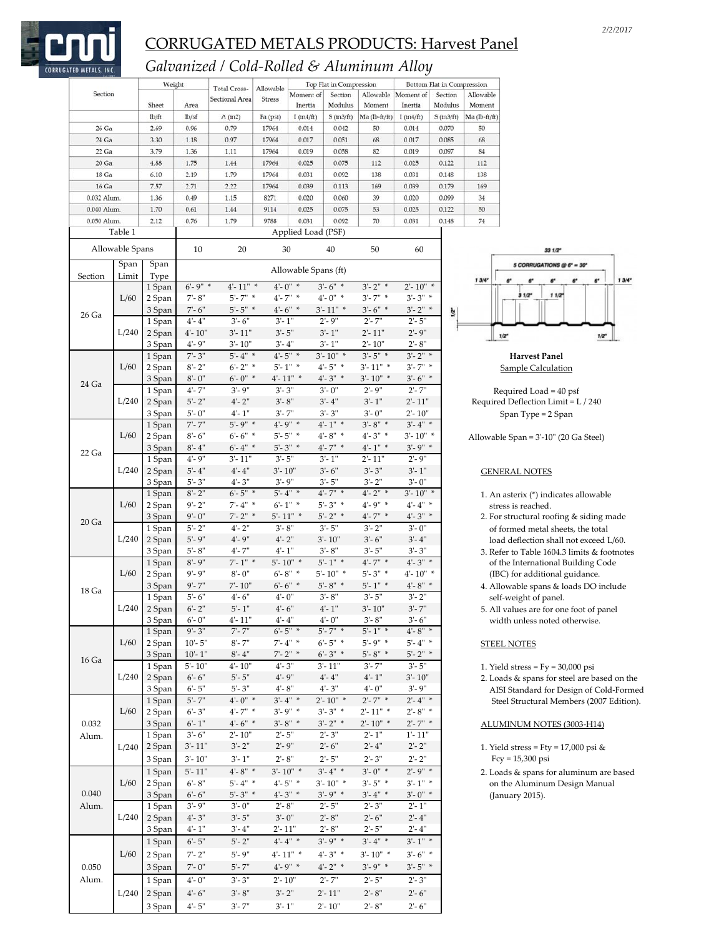

### *Galvanized / Cold‐Rolled & Aluminum Alloy*

|             |                 | Weight           |                             | Total Cross-             | Allowable  |                                  | Top Flat in Compression          |                           |                                       | Bottom Flat in Compression |               |
|-------------|-----------------|------------------|-----------------------------|--------------------------|------------|----------------------------------|----------------------------------|---------------------------|---------------------------------------|----------------------------|---------------|
| Section     |                 |                  |                             | Sectional Area           | Stress     | Moment of                        | Section                          | Allowable                 | Moment of                             | Section                    | Allowable     |
|             |                 | Sheet            | Area                        |                          |            | Inertia                          | Modulus                          | Moment                    | Inertia                               | Modulus                    | Moment        |
|             |                 | lb/ft            | lb/sf                       | A (in2)                  | Fa (psi)   | $I$ (in $4$ /ft)                 | $S$ (in $3/ft$ )                 | Ma (lb-ft/ft)             | $I$ (in $4/ft$ )                      | $S$ (in $3/ft$ )           | Ma (Ib-ft/ft) |
| 26 Ga       |                 | 2.69             | 0.96                        | 0.79                     | 17964      | 0.014                            | 0.042                            | 50                        | 0.014                                 | 0.070                      | 50            |
| 24 Ga       |                 | 3.30             | 1.18                        | 0.97                     | 17964      | 0.017                            | 0.051                            | 68                        | 0.017                                 | 0.085                      | 68            |
| 22 Ga       |                 | 3.79             | 1.36                        | 1.11                     | 17964      | 0.019                            | 0.058                            | 82                        | 0.019                                 | 0.097                      | 84            |
| $20$ Ga     |                 | 4.88             | 1.75                        | 1.44                     | 17964      | 0.025                            | 0.075                            | 112                       | 0.025                                 | 0.122                      | 112           |
| 18 Ga       |                 | 6.10             | 2.19                        | 1.79                     | 17964      | 0.031                            | 0.092                            | 138                       | 0.031                                 | 0.148                      | 138           |
| 16 Ga       |                 | 7.57             | 2.71                        | 2.22                     | 17964      | 0.039                            | 0.113                            | 169                       | 0.039                                 | 0.179                      | 169           |
| 0.032 Alum. |                 | 1.36             | 0.49                        | 1.15                     | 8271       | 0.020                            | 0.060                            | 39                        | 0.020                                 | 0.099                      | 34            |
| 0.040 Alum. |                 | 1.70             | 0.61                        | 1.44                     | 9114       | 0.025                            | 0.075                            | 53                        | 0.025                                 | 0.122                      | 50            |
| 0.050 Alum. |                 | 2.12             | 0.76                        | 1.79                     | 9788       | 0.031                            | 0.092                            | 70                        | 0.031                                 | 0.148                      | 74            |
|             | Table 1         |                  |                             |                          |            | Applied Load (PSF)               |                                  |                           |                                       |                            |               |
|             | Allowable Spans |                  | 10                          | 20                       | 30         |                                  | 40                               | 50                        | 60                                    |                            |               |
|             | Span            |                  |                             |                          |            |                                  |                                  |                           |                                       |                            |               |
|             |                 | Span             |                             |                          |            | Allowable Spans (ft)             |                                  |                           |                                       |                            |               |
| Section     | Limit           | Type             | $6' - 9''$ *                | $4 - 11"$ *              |            | $4 - 0"$ *                       | $3' - 6''$ *                     | $3' - 2''$ *              | $2' - 10''$ *                         |                            | 13/4          |
|             | L/60            | 1 Span           | $7 - 8"$                    | $5' - 7''$ *             |            | $4'$ -7" *                       | $4 - 0"$ *                       | $3' - 7''$ *              | $3' - 3''$ *                          |                            |               |
|             |                 | 2 Span<br>3 Span | $7 - 6"$                    | $5 - 5"$ *               |            | $4 - 6"$ *                       | $3' - 11''$ *                    | $3' - 6''$ *              | $3 - 2"$ *                            |                            |               |
| 26 Ga       |                 |                  | $4 - 4"$                    | $3' - 6''$               | $3' - 1''$ |                                  | $2' - 9''$                       | $2' - 7"$                 | $2' - 5"$                             | $\frac{1}{2}$              |               |
|             | L/240           | 1 Span<br>2 Span | $4 - 10"$                   | $3' - 11"$               | $3' - 5"$  |                                  | $3' - 1''$                       | $2' - 11"$                | $2' - 9''$                            |                            |               |
|             |                 | 3 Span           | $4 - 9"$                    | $3 - 10"$                | $3 - 4"$   |                                  | $3' - 1''$                       | $2' - 10''$               | $2' - 8''$                            |                            |               |
|             |                 |                  | $7 - 3"$                    | $5 - 4"$ *               |            | $4'$ -5" *                       | $3' - 10''$ *                    | $3' - 5''$ *              | $3' - 2''$ *                          |                            |               |
|             | L/60            | 1 Span           | $8 - 2"$                    | $6 - 2"$ *               |            | $5' - 1''$ *                     | $4 - 5"$ *                       | $3' - 11''$ *             | $3' - 7''$ *                          |                            |               |
|             |                 | 2 Span           | $8 - 0"$                    | $6 - 0"$ *               |            | $4 - 11"$ *                      | $4 - 3"$ *                       | $3'$ - 10" *              | $3 - 6"$ *                            |                            |               |
| 24 Ga       |                 | 3 Span           | $4' - 7''$                  | $3' - 9''$               | $3' - 3''$ |                                  | $3' - 0''$                       | $2' - 9''$                | $2' - 7"$                             |                            |               |
|             | L/240           | 1 Span           | $5 - 2"$                    | $4' - 2''$               | $3' - 8''$ |                                  | $3 - 4"$                         | $3' - 1''$                | $2' - 11"$                            |                            | R             |
|             |                 | 2 Span           |                             | $4 - 1"$                 |            |                                  | $3' - 3''$                       |                           |                                       |                            | Require       |
|             |                 | 3 Span           | $5 - 0"$                    |                          | $3' - 7"$  |                                  | $4'$ -1" *                       | $3 - 0"$                  | $2'$ - $10"$                          |                            |               |
|             |                 | 1 Span           | $7 - 7"$                    | $5 - 9"$ *               |            | $4 - 9"$ *                       | $4 - 8"$ *                       | $3' - 8''$ *              | $3 - 4"$ *                            |                            |               |
|             | L/60            | 2 Span           | $8 - 6"$                    | $6 - 6"$ *               |            | $5' - 5''$ *                     |                                  | $4 - 3"$ *                | $3' - 10''$ *                         |                            | Allowab       |
| 22 Ga       |                 | 3 Span           | $8 - 4"$                    | $6 - 4"$ *               |            | $5' - 3''$ *                     | $4'$ -7" *                       | $4 - 1"$ *                | $3' - 9''$ *                          |                            |               |
|             |                 | 1 Span           | $4 - 9"$                    | $3' - 11"$               | $3' - 5''$ |                                  | $3' - 1''$                       | $2' - 11"$                | $2' - 9''$                            |                            |               |
|             | L/240           | 2 Span           | $5 - 4"$                    | $4 - 4"$                 | $3' - 10"$ |                                  | $3' - 6''$                       | $3' - 3''$                | $3 - 1"$                              |                            | GEN           |
|             |                 | 3 Span           | $5 - 3"$                    | $4 - 3"$                 | $3' - 9''$ |                                  | $3' - 5"$                        | $3' - 2"$                 | $3 - 0"$                              |                            |               |
|             |                 | 1 Span           | $8 - 2"$                    | $6 - 5"$ *               |            | $5' - 4''$ *                     | $4' - 7''$ *                     | $4 - 2"$ *                | $3'$ - 10" *                          |                            | 1. Ar         |
|             | L/60            | 2 Span           | $9' - 2"$                   | $7 - 4"$ *               |            | $6' - 1''$ *                     | $5' - 3''$ *                     | $4 - 9"$ *                | $4 - 4"$ *                            |                            | str           |
| $20$ Ga     |                 | 3 Span           | $9' - 0''$                  | $7 - 2"$ *               |            | $5'$ -11" *                      | $5' - 2''$ *                     | $4' - 7''$ *              | $4 - 3"$ *                            |                            | 2. Fo         |
|             |                 | 1 Span           | $5 - 2"$                    | $4 - 2"$                 | $3 - 8"$   |                                  | $3' - 5"$                        | $3 - 2"$                  | $3' - 0''$                            |                            | of            |
|             | L/240           | 2 Span           | $5' - 9''$                  | $4' - 9''$               | $4' - 2''$ |                                  | $3' - 10"$                       | $3' - 6''$                | $3 - 4"$                              |                            | log           |
|             |                 | 3 Span           | $5 - 8"$                    | $4' - 7''$<br>$7 - 1"$ * | $4 - 1"$   | $5 - 10"$ *                      | $3' - 8''$<br>$5' - 1''$ *       | $3' - 5"$<br>$4' - 7''$ * | $3' - 3''$<br>$4 - 3"$ *              |                            | 3. Re         |
|             |                 | 1 Span           | $8 - 9"$                    |                          |            |                                  |                                  |                           |                                       |                            | οf            |
|             | L/60            | 2 Span           | $9'$ - $9"$                 | $8 - 0"$                 |            | $6'$ - $8''$ $\hspace{0.1cm}^*$  | $5'$ -10" *                      | $5' - 3''$ *              | $4 - 10"$ *                           |                            | $($ IE        |
| 18 Ga       |                 | 3 Span           | $9' - 7''$                  | $7 - 10"$                |            | $6' - 6''$ *                     | $5 - 8"$ *                       | $5' - 1''$ *              | $4 - 8"$ *                            |                            | 4. Al         |
|             |                 | 1 Span           | $5 - 6"$                    | $4' - 6''$               | $4' - 0''$ |                                  | $3' - 8"$                        | $3' - 5"$                 | $3' - 2"$                             |                            | sel           |
|             |                 | L/240 2 Span     | $6 - 2"$                    | $5' - 1''$               | $4' - 6''$ |                                  | $4' - 1''$                       | $3' - 10''$               | $3' - 7''$                            |                            | 5. Al         |
|             |                 | 3 Span           | $6 - 0"$                    | $4 - 11"$                | $4 - 4"$   |                                  | $4 - 0"$                         | $3' - 8"$                 | $3 - 6"$                              |                            | wi            |
|             |                 | 1 Span           | $9' - 3''$                  | $7' - 7''$               |            | $6' - 5''$ *                     | $5'$ -7" *                       | $5' - 1''$ *              | $4 - 8"$ *                            |                            |               |
|             | L/60            | 2 Span           | $10 - 5"$                   | $8 - 7"$                 |            | $7 - 4"$ *                       | $6 - 5"$ *                       | $5' - 9''$ *              | $5 - 4"$ *                            |                            | <b>STEF</b>   |
| 16 Ga       |                 | 3 Span           | $10 - 1$ "                  | $8 - 4"$                 |            | $7 - 2"$ *                       | $6' - 3''$ *                     | $5 - 8"$ *                | $5 - 2"$ *                            |                            |               |
|             |                 | 1 Span           | $5 - 10"$                   | 4'- 10"                  | $4' - 3''$ |                                  | 3'-11"                           | $3' - 7"$                 | $3' - 5''$                            |                            | 1. Yie        |
|             | L/240           | 2 Span           | $6 - 6"$                    | $5 - 5"$                 | $4' - 9''$ |                                  | $4 - 4"$                         | $4' - 1''$                | $3'$ - 10"                            |                            | $2.$ Lo       |
|             |                 | 3 Span           | $6 - 5"$                    | $5' - 3''$               | $4 - 8"$   |                                  | $4 - 3"$                         | $4 - 0"$                  | $3' - 9''$                            |                            | AI            |
|             |                 | 1 Span           | $5' - 7"$                   | $4 - 0"$ *               |            | $3' - 4''$ *                     | $2' - 10''$ *                    | $2' - 7''$ *              | $2 - 4"$ *                            |                            | St            |
|             | L/60            | 2 Span           | $6 - 3"$                    | $4 - 7"$ *               |            | $3' - 9''$ *                     | $3' - 3''$ *                     | $2'$ -11" *               | $2' - 8''$ *                          |                            |               |
| 0.032       |                 | 3 Span           | $6'$ - $1\ensuremath{''}$   | $4 - 6"$ *               |            | $3'$ -8" *                       | $3' - 2''$ *                     | $2'$ - 10" *              | $2^{\prime}$ - $7^{\prime\prime}$ *   |                            | <b>ALU</b>    |
| Alum.       |                 | 1 Span           | $3 - 6"$                    | $2'$ - $10"$             | $2' - 5''$ |                                  | $2' - 3''$                       | $2 - 1"$                  | $1 - 11"$                             |                            |               |
|             | L/240           | 2 Span           | $3^\circ\text{-}\,11^\circ$ | $3' - 2"$                | $2' - 9''$ |                                  | $2' - 6"$                        | $2 - 4"$                  | $2' - 2''$                            |                            | 1. Yi         |
|             |                 | 3 Span           | $3' - 10''$                 | $3' - 1''$               | $2' - 8''$ |                                  | $2' - 5"$                        | $2' - 3''$                | $2' - 2''$                            |                            | F             |
|             |                 | 1 Span           | $5' - 11"$                  | $4 - 8"$ *               |            | $3'$ - $10''$ *                  | $3' - 4''$ *                     | $3 - 0"$ *                | $2 - 9"$                              |                            | 2. Lo         |
|             | L/60            | 2 Span           | $6 - 8"$                    | $5 - 4"$ *               |            | $4 - 5"$ *                       | $3'$ -10" *                      | $3' - 5''$ *              | $3 - 1"$ *                            |                            | on            |
| 0.040       |                 | 3 Span           | $6 - 6"$                    | $5' - 3''$ *             |            | $4 - 3"$ *                       | $3' - 9''$ *                     | $3 - 4"$ *                | $3^{\circ}\text{-}0^{\prime\prime}$ * |                            | (Ja           |
| Alum.       |                 | 1 Span           | $3' - 9''$                  | $3' - 0''$               | $2' - 8''$ |                                  | $2' - 5''$                       | $2 - 3"$                  | $2 - 1"$                              |                            |               |
|             | L/240           | 2 Span           | $4 - 3"$                    | $3' - 5"$                | $3 - 0"$   |                                  | $2' - 8"$                        | $2' - 6"$                 | $2 - 4"$                              |                            |               |
|             |                 | 3 Span           | $4 - 1"$                    | $3 - 4"$                 | $2' - 11"$ |                                  | $2' - 8"$                        | $2' - 5"$                 | $2 - 4"$                              |                            |               |
|             |                 | 1 Span           | $6 - 5"$                    | $5 - 2"$                 |            | $4^{\circ}$ - $4^{\circ\circ}$ * | $3' - 9''$ *                     | $3 - 4"$ *                | $3'$ - 1" *                           |                            |               |
|             | L/60            | 2 Span           | $7 - 2"$                    | $5 - 9"$                 |            | $4 - 11"$ *                      | $4 - 3"$ *                       | $3'$ - $10''$ *           | $3'$ - 6" *                           |                            |               |
| 0.050       |                 | 3 Span           | $7 - 0"$                    | $5' - 7"$                |            | $4 - 9"$ *                       | $4 - 2"$ *                       | $3' - 9''$ *              | $3 - 5"$ *                            |                            |               |
| Alum.       |                 | 1 Span           | $4 - 0"$                    | $3' - 3"$                | $2'$ - 10" |                                  | $2' - 7"$                        | $2' - 5"$                 | $2' - 3''$                            |                            |               |
|             |                 |                  |                             |                          |            |                                  |                                  |                           |                                       |                            |               |
|             | L/240           | 2 Span           | $4^\circ\text{-}$ $6^\circ$ | $3' - 8"$                | $3 - 2"$   |                                  | $2' - 11"$                       | $2 - 8"$                  | $2' - 6''$                            |                            |               |
|             |                 | 3 Span           | $4 - 5"$                    | $3' - 7"$                | $3' - 1''$ |                                  | $2^\prime$ - $10^{\prime\prime}$ | $2' - 8"$                 | $2 - 6"$                              |                            |               |



Sample Calculation

Required Load = 40 psf equired Deflection Limit = L / 240 Span Type = 2 Span

 $2$ llowable Span =  $3'$ -10" (20 Ga Steel)

### GENERAL NOTES

- 1. An asterix (\*) indicates allowable stress is reached.
- 2. For structural roofing & siding made of formed metal sheets, the total load deflection shall not exceed L/60.
- 3. Refer to Table 1604.3 limits & footnotes of the International Building Code (IBC) for additional guidance.
- 4. Allowable spans & loads DO include self-weight of panel.
- 5. All values are for one foot of panel width unless noted otherwise.

### **STEEL NOTES**

- 1. Yield stress  $=$  Fy  $=$  30,000 psi
- 2. Loads & spans for steel are based on the AISI Standard for Design of Cold-Formed Steel Structural Members (2007 Edition).

### ALUMINUM NOTES (3003-H14)

- 1. Yield stress = Fty = 17,000 psi  $\&$  $Fcy = 15,300$  psi
- 2. Loads & spans for aluminum are based on the Aluminum Design Manual (January 2015).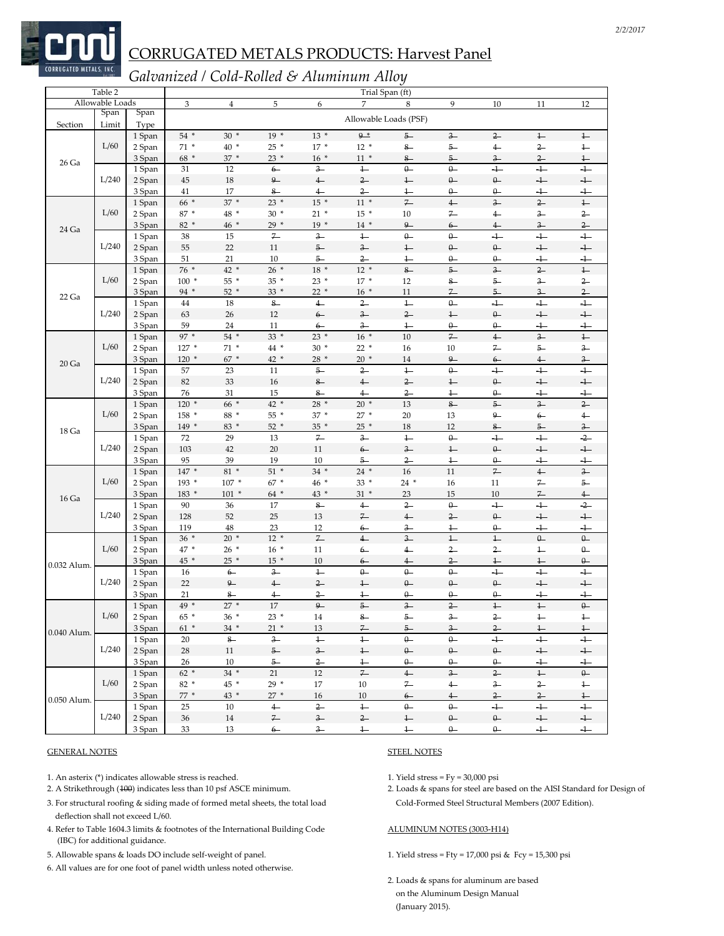

### *Galvanized / Cold‐Rolled & Aluminum Alloy*

| Allowable Loads<br>3<br>5<br>$\overline{7}$<br>9<br>10<br>12<br>$\overline{4}$<br>6<br>8<br>11<br>Span<br>Span<br>Allowable Loads (PSF)<br>Section<br>Limit<br>Type<br>$30*$<br>$13*$<br>$9*$<br>54 *<br>$19*$<br>$5-$<br>$3 -$<br>$2-$<br>$\ddagger$<br>1 Span<br>$^{1-}$<br>L/60<br>$71 *$<br>$40*$<br>$25 *$<br>$17*$<br>$12*$<br>$8-$<br>$5-$<br>$2-$<br>2 Span<br>$\overline{4}$<br>$^{1-}$<br>$68 *$<br>37 *<br>$11 *$<br>3 Span<br>$23*$<br>$16*$<br>$8-$<br>$5 -$<br>$2-$<br>$\ddagger$<br>$3-$<br>26 Ga<br>$\theta$<br>$\overline{+}$<br>$3 -$<br>$1 -$<br>$\theta -$<br>$+$<br>$+$<br>31<br>12<br>$6-$<br>1 Span<br>L/240<br>$9-$<br>$18\,$<br>$4-$<br>$2-$<br>$1 -$<br>$\theta-$<br>$\theta-$<br>$\!+$<br>2 Span<br>45<br>$+$<br>3 Span<br>41<br>17<br>$8-$<br>$2-$<br>$+$<br>$+$<br>$4-$<br>$1 -$<br>Q.<br>$\theta -$<br>$\ddagger$<br>$11 *$<br>$\overline{z}$<br>$\overline{2}$<br>$66*$<br>$37 *$<br>$23 *$<br>$15 *$<br>$\overline{4}$<br>$\overline{\mathbf{3}}$<br>1 Span<br>L/60<br>87 *<br>48 *<br>$30*$<br>$21 *$<br>$15*$<br>$10\,$<br>7<br>$2-$<br>2 Span<br>$\overline{4}$<br>$3-$<br>82 *<br>$46*$<br>$19*$<br>$\overline{9}$<br>$2-$<br>$29*$<br>$14*$<br>$3-$<br>3 Span<br>$6-$<br>$^{4-}$<br>24 Ga<br>$3-$<br>$\overline{1}$<br>$7-$<br>$\theta$<br>$\theta -$<br>$\overline{+}$<br>$+$<br>$+$<br>38<br>15<br>1 Span<br>L/240<br>$\!+$<br>2 Span<br>55<br>$22\,$<br>11<br>$5-$<br>$3-$<br>$^{1-}$<br>$\theta -$<br>$\theta-$<br>$+$<br>21<br>$2-$<br>$+$<br>3 Span<br>51<br>10<br>$5-$<br>$1 -$<br>$\theta -$<br>$\theta-$<br>$+$<br>76 *<br>42 *<br>$26*$<br>18 *<br>$12 *$<br>$8-$<br>$5-$<br>$3-$<br>$2-$<br>$\downarrow$<br>1 Span<br>L/60<br>$100*$<br>55 *<br>35 *<br>$23*$<br>$17*$<br>$2-$<br>2 Span<br>12<br>$8-$<br>$5-$<br>$3-$<br>94 *<br>$52*$<br>$33*$<br>$22*$<br>$16*$<br>$2-$<br>3 Span<br>11<br>$7-$<br>$5-$<br>$3-$<br>22 Ga<br>$2-$<br>$\overline{1}$<br>$\theta-$<br>$\overline{+}$<br>$+$<br>$44\,$<br>18<br>$8-$<br>$4-$<br>$+$<br>1 Span<br>L/240<br>$\ddagger$<br>$\ensuremath{\textnormal{\textbf{1}}}-$<br>2 Span<br>63<br>26<br>12<br>$6-$<br>$3-$<br>$2-$<br>$\theta-$<br>$+$<br>$3-$<br>$\theta -$<br>$+$<br>3 Span<br>59<br>24<br>11<br>$\frac{1}{\cdot}$<br>$\theta -$<br>$^{+}$<br>$6-$<br>$\overline{z}$<br>97 *<br>$54$ *<br>$23 *$<br>$16*$<br>10<br>$\overline{4}$<br>$\overline{\mathbf{3}}$<br>$\ddagger$<br>$33*$<br>1 Span<br>L/60<br>$71*$<br>$127*$<br>44 *<br>$30*$<br>$22*$<br>10<br>$7-$<br>$5-$<br>$3-$<br>2 Span<br>16<br>67 *<br>3 Span<br>$120*$<br>42 *<br>$28 *$<br>$20*$<br>14<br>9<br>$3-$<br>$6-$<br>$4-$<br>20 <sub>Ga</sub><br>$\theta$<br>$+$<br>$+$<br>$+$<br>$5-$<br>$2-$<br>$\ddagger$<br>1 Span<br>23<br>11<br>57<br>L/240<br>33<br>$\!+$<br>82<br>$16\,$<br>$8-$<br>$4-$<br>$2-$<br>$^{1-}$<br>$\theta-$<br>$+$<br>2 Span<br>3 Span<br>76<br>31<br>15<br>$8-$<br>$2-$<br>$\div$<br>$+$<br>$4-$<br>$\overline{1}$<br>$\theta -$<br>66 *<br>$120*$<br>42 *<br>28 *<br>$20*$<br>13<br>$8-$<br>$5-$<br>$3-$<br>$2-$<br>1 Span<br>L/60<br>$158*$<br>88 *<br>$37*$<br>$27*$<br>55 *<br>20<br>13<br>9<br>$\overline{4}$<br>2 Span<br>$6-$<br>$52*$<br>149 *<br>83 *<br>$35 *$<br>$25*$<br>18<br>12<br>$8-$<br>$3-$<br>3 Span<br>$5-$<br>18 Ga<br>$-2-$<br>$7 -$<br>$3-$<br>$\overline{1}$<br>$\theta-$<br>$+$<br>$+$<br>72<br>29<br>13<br>1 Span<br>L/240<br>42<br>$11\,$<br>2 Span<br>103<br>20<br>$6-$<br>$3 -$<br>$\ddagger$<br>$\theta-$<br>$+$<br>$+$<br>3 Span<br>95<br>39<br>19<br>10<br>$2 -$<br>$^{1-}$<br>$\theta$<br>$\overline{1}$<br>$\overline{+}$<br>5<br>$\overline{z}$<br>$3-$<br>147 *<br>$81 *$<br>$51*$<br>$34 *$<br>16<br>11<br>$4-$<br>$24*$<br>1 Span<br>L/60<br>193 *<br>$107 *$<br>$67*$<br>46 *<br>$33*$<br>2 Span<br>$24*$<br>16<br>11<br>$7-$<br>$5-$<br>$7-$<br>183 *<br>$101 *$<br>64 *<br>43 *<br>$31 *$<br>23<br>15<br>$10\,$<br>$4-$<br>3 Span<br>16 Ga<br>$-2-$<br>90<br>$8-$<br>$4-$<br>$2-$<br>$\theta-$<br>$+$<br>$+$<br>36<br>17<br>1 Span<br>L/240<br>$4-$<br>$\theta-$<br>$+$<br>$+$<br>2 Span<br>128<br>52<br>25<br>13<br>$7-$<br>$2-$<br>48<br>23<br>3 Span<br>119<br>12<br>$3 -$<br>$\theta-$<br>$+$<br>$+$<br>$6-$<br>$^{1-}$<br>$7 -$<br>$36 *$<br>$20*$<br>$12 *$<br>$4-$<br>$\overline{\mathbf{3}}$<br>$\overline{1}$<br>$\ensuremath{\mathop{\longleftarrow}}$<br>$\theta-$<br>$\theta-$<br>1 Span<br>L/60<br>47 *<br>$26 *$<br>$16*$<br>$\theta -$<br>2 Span<br>11<br>$6-$<br>$2-$<br>$2-$<br>$4-$<br>$\overline{1}$<br>$45*$<br>$25 *$<br>$15*$<br>10<br>$2-$<br>$\theta-$<br>3 Span<br>$^{1-}$<br>$^{1-}$<br>$6-$<br>$^{4-}$<br>0.032 Alum.<br>$+$<br>$\overline{+}$<br>$\overline{1}$<br>$\theta$<br>$\theta$<br>$\theta$<br>$+$<br>16<br>$6-$<br>$3-$<br>1 Span<br>L/240<br>$9-$<br>$\theta$<br>$+$<br>$+$<br>2 Span<br>22<br>$4-$<br>$2-$<br>$\theta$<br>$\theta -$<br>$^{1-}$<br>21<br>$\overline{2}$<br>$\overline{1}$<br>$\theta$<br>$\theta -$<br>$\theta$<br>$\ddot{\phantom{1}}$<br>3 Span<br>$8-$<br>$\overline{4}$<br>$-1-$<br>$\theta-$<br>$27 *$<br>$\overline{1}$<br>17<br>$9-$<br>$5-$<br>$\overline{\mathbf{3}}$<br>$2-$<br>$\overline{1}$<br>49 *<br>1 Span<br>L/60<br>2 Span<br>$65*$<br>$36*$<br>$23*$<br>14<br>$^{8-}$<br>$5-$<br>$\frac{3}{2}$<br>$2-$<br>$^{1-}$<br>$^{+}$<br>$\overline{z}$<br>$5-$<br>$\frac{3}{2}$<br>$2-$<br>$\overline{1}$<br>$61$ $^{\ast}$<br>$\overline{1}$<br>3 Span<br>$34 *$<br>$21 *$<br>13<br>0.040 Alum.<br>$\mathbf{8}-$<br>$3-$<br>$\ddagger$<br>$+$<br>$+$<br>$+$<br>1 Span<br>20<br>$\ddagger$<br>$\theta$<br>$\theta$<br>L/240<br>$\theta-$<br>$\theta-$<br>$+$<br>$\ensuremath{\leftarrow}$<br>2 Span<br>$11\,$<br>$5-$<br>$3-$<br>$\ddagger$<br>$\theta-$<br>28<br>3 Span<br>26<br>10<br>$5-$<br>$2-$<br>$\leftarrow$<br>$\theta -$<br>$\theta -$<br>$\theta -$<br>$+$<br>$+$<br>$\overline{\mathcal{L}}$<br>$3-$<br>$62 *$<br>$34$ $\hspace{0.1cm}*$<br>$4-$<br>$2-$<br>$\overline{1-}$<br>1 Span<br>21<br>12<br>$\theta-$<br>L/60<br>$29*$<br>2 Span<br>82 *<br>45 *<br>$10\,$<br>$7-$<br>$4-$<br>$3-$<br>$2-$<br>17<br>$\ensuremath{\mathop{\longleftarrow}}$<br>3 Span<br>$77*$<br>43 *<br>$27 *$<br>$\frac{4}{ }$<br>$\frac{2}{ }$<br>$2-$<br>16<br>10<br>$6-$<br>$\ddagger$<br>0.050 Alum.<br>$\overline{+}$<br>$\overline{4}$<br>$2-$<br>$\ddagger$<br>$\theta$<br>$\theta$<br>$+$<br>$+$<br>25<br>10<br>1 Span<br>L/240<br>$\mathcal{F}$<br>$3-$<br>$2-$<br>$\theta-$<br>$\ensuremath{\mathsf{+}}$<br>2 Span<br>$14\,$<br>$\leftarrow$<br>$\theta-$<br>$\ensuremath{\mathsf{+}}$<br>$36\,$ | Table 2 |        |    |    |      |      | Trial Span (ft)                        |              |           |           |     |     |
|------------------------------------------------------------------------------------------------------------------------------------------------------------------------------------------------------------------------------------------------------------------------------------------------------------------------------------------------------------------------------------------------------------------------------------------------------------------------------------------------------------------------------------------------------------------------------------------------------------------------------------------------------------------------------------------------------------------------------------------------------------------------------------------------------------------------------------------------------------------------------------------------------------------------------------------------------------------------------------------------------------------------------------------------------------------------------------------------------------------------------------------------------------------------------------------------------------------------------------------------------------------------------------------------------------------------------------------------------------------------------------------------------------------------------------------------------------------------------------------------------------------------------------------------------------------------------------------------------------------------------------------------------------------------------------------------------------------------------------------------------------------------------------------------------------------------------------------------------------------------------------------------------------------------------------------------------------------------------------------------------------------------------------------------------------------------------------------------------------------------------------------------------------------------------------------------------------------------------------------------------------------------------------------------------------------------------------------------------------------------------------------------------------------------------------------------------------------------------------------------------------------------------------------------------------------------------------------------------------------------------------------------------------------------------------------------------------------------------------------------------------------------------------------------------------------------------------------------------------------------------------------------------------------------------------------------------------------------------------------------------------------------------------------------------------------------------------------------------------------------------------------------------------------------------------------------------------------------------------------------------------------------------------------------------------------------------------------------------------------------------------------------------------------------------------------------------------------------------------------------------------------------------------------------------------------------------------------------------------------------------------------------------------------------------------------------------------------------------------------------------------------------------------------------------------------------------------------------------------------------------------------------------------------------------------------------------------------------------------------------------------------------------------------------------------------------------------------------------------------------------------------------------------------------------------------------------------------------------------------------------------------------------------------------------------------------------------------------------------------------------------------------------------------------------------------------------------------------------------------------------------------------------------------------------------------------------------------------------------------------------------------------------------------------------------------------------------------------------------------------------------------------------------------------------------------------------------------------------------------------------------------------------------------------------------------------------------------------------------------------------------------------------------------------------------------------------------------------------------------------------------------------------------------------------------------------------------------------------------------------------------------------------------------------------------------------------------------------------------------------------------------------------------------------------------------------------------------------------------------------------------------------------------------------------------------------------------------------------------------------------------------------------------------------------------------------------------------------------------------------------------------------------------------------------------------------------------------------------------------------------------------------------------------------------------------------------------------------------------------------------------------------------------------------------------------------------------------------------------------------------------------------------------------------------------------------------------------------------------------------------------------------------------------------------------------------------------------------------------------------------------------------------------------------------------------------------------------------------------------------------|---------|--------|----|----|------|------|----------------------------------------|--------------|-----------|-----------|-----|-----|
|                                                                                                                                                                                                                                                                                                                                                                                                                                                                                                                                                                                                                                                                                                                                                                                                                                                                                                                                                                                                                                                                                                                                                                                                                                                                                                                                                                                                                                                                                                                                                                                                                                                                                                                                                                                                                                                                                                                                                                                                                                                                                                                                                                                                                                                                                                                                                                                                                                                                                                                                                                                                                                                                                                                                                                                                                                                                                                                                                                                                                                                                                                                                                                                                                                                                                                                                                                                                                                                                                                                                                                                                                                                                                                                                                                                                                                                                                                                                                                                                                                                                                                                                                                                                                                                                                                                                                                                                                                                                                                                                                                                                                                                                                                                                                                                                                                                                                                                                                                                                                                                                                                                                                                                                                                                                                                                                                                                                                                                                                                                                                                                                                                                                                                                                                                                                                                                                                                                                                                                                                                                                                                                                                                                                                                                                                                                                                                                                                                                                                                      |         |        |    |    |      |      |                                        |              |           |           |     |     |
|                                                                                                                                                                                                                                                                                                                                                                                                                                                                                                                                                                                                                                                                                                                                                                                                                                                                                                                                                                                                                                                                                                                                                                                                                                                                                                                                                                                                                                                                                                                                                                                                                                                                                                                                                                                                                                                                                                                                                                                                                                                                                                                                                                                                                                                                                                                                                                                                                                                                                                                                                                                                                                                                                                                                                                                                                                                                                                                                                                                                                                                                                                                                                                                                                                                                                                                                                                                                                                                                                                                                                                                                                                                                                                                                                                                                                                                                                                                                                                                                                                                                                                                                                                                                                                                                                                                                                                                                                                                                                                                                                                                                                                                                                                                                                                                                                                                                                                                                                                                                                                                                                                                                                                                                                                                                                                                                                                                                                                                                                                                                                                                                                                                                                                                                                                                                                                                                                                                                                                                                                                                                                                                                                                                                                                                                                                                                                                                                                                                                                                      |         |        |    |    |      |      |                                        |              |           |           |     |     |
|                                                                                                                                                                                                                                                                                                                                                                                                                                                                                                                                                                                                                                                                                                                                                                                                                                                                                                                                                                                                                                                                                                                                                                                                                                                                                                                                                                                                                                                                                                                                                                                                                                                                                                                                                                                                                                                                                                                                                                                                                                                                                                                                                                                                                                                                                                                                                                                                                                                                                                                                                                                                                                                                                                                                                                                                                                                                                                                                                                                                                                                                                                                                                                                                                                                                                                                                                                                                                                                                                                                                                                                                                                                                                                                                                                                                                                                                                                                                                                                                                                                                                                                                                                                                                                                                                                                                                                                                                                                                                                                                                                                                                                                                                                                                                                                                                                                                                                                                                                                                                                                                                                                                                                                                                                                                                                                                                                                                                                                                                                                                                                                                                                                                                                                                                                                                                                                                                                                                                                                                                                                                                                                                                                                                                                                                                                                                                                                                                                                                                                      |         |        |    |    |      |      |                                        |              |           |           |     |     |
|                                                                                                                                                                                                                                                                                                                                                                                                                                                                                                                                                                                                                                                                                                                                                                                                                                                                                                                                                                                                                                                                                                                                                                                                                                                                                                                                                                                                                                                                                                                                                                                                                                                                                                                                                                                                                                                                                                                                                                                                                                                                                                                                                                                                                                                                                                                                                                                                                                                                                                                                                                                                                                                                                                                                                                                                                                                                                                                                                                                                                                                                                                                                                                                                                                                                                                                                                                                                                                                                                                                                                                                                                                                                                                                                                                                                                                                                                                                                                                                                                                                                                                                                                                                                                                                                                                                                                                                                                                                                                                                                                                                                                                                                                                                                                                                                                                                                                                                                                                                                                                                                                                                                                                                                                                                                                                                                                                                                                                                                                                                                                                                                                                                                                                                                                                                                                                                                                                                                                                                                                                                                                                                                                                                                                                                                                                                                                                                                                                                                                                      |         |        |    |    |      |      |                                        |              |           |           |     |     |
|                                                                                                                                                                                                                                                                                                                                                                                                                                                                                                                                                                                                                                                                                                                                                                                                                                                                                                                                                                                                                                                                                                                                                                                                                                                                                                                                                                                                                                                                                                                                                                                                                                                                                                                                                                                                                                                                                                                                                                                                                                                                                                                                                                                                                                                                                                                                                                                                                                                                                                                                                                                                                                                                                                                                                                                                                                                                                                                                                                                                                                                                                                                                                                                                                                                                                                                                                                                                                                                                                                                                                                                                                                                                                                                                                                                                                                                                                                                                                                                                                                                                                                                                                                                                                                                                                                                                                                                                                                                                                                                                                                                                                                                                                                                                                                                                                                                                                                                                                                                                                                                                                                                                                                                                                                                                                                                                                                                                                                                                                                                                                                                                                                                                                                                                                                                                                                                                                                                                                                                                                                                                                                                                                                                                                                                                                                                                                                                                                                                                                                      |         |        |    |    |      |      |                                        |              |           |           |     |     |
|                                                                                                                                                                                                                                                                                                                                                                                                                                                                                                                                                                                                                                                                                                                                                                                                                                                                                                                                                                                                                                                                                                                                                                                                                                                                                                                                                                                                                                                                                                                                                                                                                                                                                                                                                                                                                                                                                                                                                                                                                                                                                                                                                                                                                                                                                                                                                                                                                                                                                                                                                                                                                                                                                                                                                                                                                                                                                                                                                                                                                                                                                                                                                                                                                                                                                                                                                                                                                                                                                                                                                                                                                                                                                                                                                                                                                                                                                                                                                                                                                                                                                                                                                                                                                                                                                                                                                                                                                                                                                                                                                                                                                                                                                                                                                                                                                                                                                                                                                                                                                                                                                                                                                                                                                                                                                                                                                                                                                                                                                                                                                                                                                                                                                                                                                                                                                                                                                                                                                                                                                                                                                                                                                                                                                                                                                                                                                                                                                                                                                                      |         |        |    |    |      |      |                                        |              |           |           |     |     |
|                                                                                                                                                                                                                                                                                                                                                                                                                                                                                                                                                                                                                                                                                                                                                                                                                                                                                                                                                                                                                                                                                                                                                                                                                                                                                                                                                                                                                                                                                                                                                                                                                                                                                                                                                                                                                                                                                                                                                                                                                                                                                                                                                                                                                                                                                                                                                                                                                                                                                                                                                                                                                                                                                                                                                                                                                                                                                                                                                                                                                                                                                                                                                                                                                                                                                                                                                                                                                                                                                                                                                                                                                                                                                                                                                                                                                                                                                                                                                                                                                                                                                                                                                                                                                                                                                                                                                                                                                                                                                                                                                                                                                                                                                                                                                                                                                                                                                                                                                                                                                                                                                                                                                                                                                                                                                                                                                                                                                                                                                                                                                                                                                                                                                                                                                                                                                                                                                                                                                                                                                                                                                                                                                                                                                                                                                                                                                                                                                                                                                                      |         |        |    |    |      |      |                                        |              |           |           |     |     |
|                                                                                                                                                                                                                                                                                                                                                                                                                                                                                                                                                                                                                                                                                                                                                                                                                                                                                                                                                                                                                                                                                                                                                                                                                                                                                                                                                                                                                                                                                                                                                                                                                                                                                                                                                                                                                                                                                                                                                                                                                                                                                                                                                                                                                                                                                                                                                                                                                                                                                                                                                                                                                                                                                                                                                                                                                                                                                                                                                                                                                                                                                                                                                                                                                                                                                                                                                                                                                                                                                                                                                                                                                                                                                                                                                                                                                                                                                                                                                                                                                                                                                                                                                                                                                                                                                                                                                                                                                                                                                                                                                                                                                                                                                                                                                                                                                                                                                                                                                                                                                                                                                                                                                                                                                                                                                                                                                                                                                                                                                                                                                                                                                                                                                                                                                                                                                                                                                                                                                                                                                                                                                                                                                                                                                                                                                                                                                                                                                                                                                                      |         |        |    |    |      |      |                                        |              |           |           |     |     |
|                                                                                                                                                                                                                                                                                                                                                                                                                                                                                                                                                                                                                                                                                                                                                                                                                                                                                                                                                                                                                                                                                                                                                                                                                                                                                                                                                                                                                                                                                                                                                                                                                                                                                                                                                                                                                                                                                                                                                                                                                                                                                                                                                                                                                                                                                                                                                                                                                                                                                                                                                                                                                                                                                                                                                                                                                                                                                                                                                                                                                                                                                                                                                                                                                                                                                                                                                                                                                                                                                                                                                                                                                                                                                                                                                                                                                                                                                                                                                                                                                                                                                                                                                                                                                                                                                                                                                                                                                                                                                                                                                                                                                                                                                                                                                                                                                                                                                                                                                                                                                                                                                                                                                                                                                                                                                                                                                                                                                                                                                                                                                                                                                                                                                                                                                                                                                                                                                                                                                                                                                                                                                                                                                                                                                                                                                                                                                                                                                                                                                                      |         |        |    |    |      |      |                                        |              |           |           |     |     |
|                                                                                                                                                                                                                                                                                                                                                                                                                                                                                                                                                                                                                                                                                                                                                                                                                                                                                                                                                                                                                                                                                                                                                                                                                                                                                                                                                                                                                                                                                                                                                                                                                                                                                                                                                                                                                                                                                                                                                                                                                                                                                                                                                                                                                                                                                                                                                                                                                                                                                                                                                                                                                                                                                                                                                                                                                                                                                                                                                                                                                                                                                                                                                                                                                                                                                                                                                                                                                                                                                                                                                                                                                                                                                                                                                                                                                                                                                                                                                                                                                                                                                                                                                                                                                                                                                                                                                                                                                                                                                                                                                                                                                                                                                                                                                                                                                                                                                                                                                                                                                                                                                                                                                                                                                                                                                                                                                                                                                                                                                                                                                                                                                                                                                                                                                                                                                                                                                                                                                                                                                                                                                                                                                                                                                                                                                                                                                                                                                                                                                                      |         |        |    |    |      |      |                                        |              |           |           |     |     |
|                                                                                                                                                                                                                                                                                                                                                                                                                                                                                                                                                                                                                                                                                                                                                                                                                                                                                                                                                                                                                                                                                                                                                                                                                                                                                                                                                                                                                                                                                                                                                                                                                                                                                                                                                                                                                                                                                                                                                                                                                                                                                                                                                                                                                                                                                                                                                                                                                                                                                                                                                                                                                                                                                                                                                                                                                                                                                                                                                                                                                                                                                                                                                                                                                                                                                                                                                                                                                                                                                                                                                                                                                                                                                                                                                                                                                                                                                                                                                                                                                                                                                                                                                                                                                                                                                                                                                                                                                                                                                                                                                                                                                                                                                                                                                                                                                                                                                                                                                                                                                                                                                                                                                                                                                                                                                                                                                                                                                                                                                                                                                                                                                                                                                                                                                                                                                                                                                                                                                                                                                                                                                                                                                                                                                                                                                                                                                                                                                                                                                                      |         |        |    |    |      |      |                                        |              |           |           |     |     |
|                                                                                                                                                                                                                                                                                                                                                                                                                                                                                                                                                                                                                                                                                                                                                                                                                                                                                                                                                                                                                                                                                                                                                                                                                                                                                                                                                                                                                                                                                                                                                                                                                                                                                                                                                                                                                                                                                                                                                                                                                                                                                                                                                                                                                                                                                                                                                                                                                                                                                                                                                                                                                                                                                                                                                                                                                                                                                                                                                                                                                                                                                                                                                                                                                                                                                                                                                                                                                                                                                                                                                                                                                                                                                                                                                                                                                                                                                                                                                                                                                                                                                                                                                                                                                                                                                                                                                                                                                                                                                                                                                                                                                                                                                                                                                                                                                                                                                                                                                                                                                                                                                                                                                                                                                                                                                                                                                                                                                                                                                                                                                                                                                                                                                                                                                                                                                                                                                                                                                                                                                                                                                                                                                                                                                                                                                                                                                                                                                                                                                                      |         |        |    |    |      |      |                                        |              |           |           |     |     |
|                                                                                                                                                                                                                                                                                                                                                                                                                                                                                                                                                                                                                                                                                                                                                                                                                                                                                                                                                                                                                                                                                                                                                                                                                                                                                                                                                                                                                                                                                                                                                                                                                                                                                                                                                                                                                                                                                                                                                                                                                                                                                                                                                                                                                                                                                                                                                                                                                                                                                                                                                                                                                                                                                                                                                                                                                                                                                                                                                                                                                                                                                                                                                                                                                                                                                                                                                                                                                                                                                                                                                                                                                                                                                                                                                                                                                                                                                                                                                                                                                                                                                                                                                                                                                                                                                                                                                                                                                                                                                                                                                                                                                                                                                                                                                                                                                                                                                                                                                                                                                                                                                                                                                                                                                                                                                                                                                                                                                                                                                                                                                                                                                                                                                                                                                                                                                                                                                                                                                                                                                                                                                                                                                                                                                                                                                                                                                                                                                                                                                                      |         |        |    |    |      |      |                                        |              |           |           |     |     |
|                                                                                                                                                                                                                                                                                                                                                                                                                                                                                                                                                                                                                                                                                                                                                                                                                                                                                                                                                                                                                                                                                                                                                                                                                                                                                                                                                                                                                                                                                                                                                                                                                                                                                                                                                                                                                                                                                                                                                                                                                                                                                                                                                                                                                                                                                                                                                                                                                                                                                                                                                                                                                                                                                                                                                                                                                                                                                                                                                                                                                                                                                                                                                                                                                                                                                                                                                                                                                                                                                                                                                                                                                                                                                                                                                                                                                                                                                                                                                                                                                                                                                                                                                                                                                                                                                                                                                                                                                                                                                                                                                                                                                                                                                                                                                                                                                                                                                                                                                                                                                                                                                                                                                                                                                                                                                                                                                                                                                                                                                                                                                                                                                                                                                                                                                                                                                                                                                                                                                                                                                                                                                                                                                                                                                                                                                                                                                                                                                                                                                                      |         |        |    |    |      |      |                                        |              |           |           |     |     |
|                                                                                                                                                                                                                                                                                                                                                                                                                                                                                                                                                                                                                                                                                                                                                                                                                                                                                                                                                                                                                                                                                                                                                                                                                                                                                                                                                                                                                                                                                                                                                                                                                                                                                                                                                                                                                                                                                                                                                                                                                                                                                                                                                                                                                                                                                                                                                                                                                                                                                                                                                                                                                                                                                                                                                                                                                                                                                                                                                                                                                                                                                                                                                                                                                                                                                                                                                                                                                                                                                                                                                                                                                                                                                                                                                                                                                                                                                                                                                                                                                                                                                                                                                                                                                                                                                                                                                                                                                                                                                                                                                                                                                                                                                                                                                                                                                                                                                                                                                                                                                                                                                                                                                                                                                                                                                                                                                                                                                                                                                                                                                                                                                                                                                                                                                                                                                                                                                                                                                                                                                                                                                                                                                                                                                                                                                                                                                                                                                                                                                                      |         |        |    |    |      |      |                                        |              |           |           |     |     |
|                                                                                                                                                                                                                                                                                                                                                                                                                                                                                                                                                                                                                                                                                                                                                                                                                                                                                                                                                                                                                                                                                                                                                                                                                                                                                                                                                                                                                                                                                                                                                                                                                                                                                                                                                                                                                                                                                                                                                                                                                                                                                                                                                                                                                                                                                                                                                                                                                                                                                                                                                                                                                                                                                                                                                                                                                                                                                                                                                                                                                                                                                                                                                                                                                                                                                                                                                                                                                                                                                                                                                                                                                                                                                                                                                                                                                                                                                                                                                                                                                                                                                                                                                                                                                                                                                                                                                                                                                                                                                                                                                                                                                                                                                                                                                                                                                                                                                                                                                                                                                                                                                                                                                                                                                                                                                                                                                                                                                                                                                                                                                                                                                                                                                                                                                                                                                                                                                                                                                                                                                                                                                                                                                                                                                                                                                                                                                                                                                                                                                                      |         |        |    |    |      |      |                                        |              |           |           |     |     |
|                                                                                                                                                                                                                                                                                                                                                                                                                                                                                                                                                                                                                                                                                                                                                                                                                                                                                                                                                                                                                                                                                                                                                                                                                                                                                                                                                                                                                                                                                                                                                                                                                                                                                                                                                                                                                                                                                                                                                                                                                                                                                                                                                                                                                                                                                                                                                                                                                                                                                                                                                                                                                                                                                                                                                                                                                                                                                                                                                                                                                                                                                                                                                                                                                                                                                                                                                                                                                                                                                                                                                                                                                                                                                                                                                                                                                                                                                                                                                                                                                                                                                                                                                                                                                                                                                                                                                                                                                                                                                                                                                                                                                                                                                                                                                                                                                                                                                                                                                                                                                                                                                                                                                                                                                                                                                                                                                                                                                                                                                                                                                                                                                                                                                                                                                                                                                                                                                                                                                                                                                                                                                                                                                                                                                                                                                                                                                                                                                                                                                                      |         |        |    |    |      |      |                                        |              |           |           |     |     |
|                                                                                                                                                                                                                                                                                                                                                                                                                                                                                                                                                                                                                                                                                                                                                                                                                                                                                                                                                                                                                                                                                                                                                                                                                                                                                                                                                                                                                                                                                                                                                                                                                                                                                                                                                                                                                                                                                                                                                                                                                                                                                                                                                                                                                                                                                                                                                                                                                                                                                                                                                                                                                                                                                                                                                                                                                                                                                                                                                                                                                                                                                                                                                                                                                                                                                                                                                                                                                                                                                                                                                                                                                                                                                                                                                                                                                                                                                                                                                                                                                                                                                                                                                                                                                                                                                                                                                                                                                                                                                                                                                                                                                                                                                                                                                                                                                                                                                                                                                                                                                                                                                                                                                                                                                                                                                                                                                                                                                                                                                                                                                                                                                                                                                                                                                                                                                                                                                                                                                                                                                                                                                                                                                                                                                                                                                                                                                                                                                                                                                                      |         |        |    |    |      |      |                                        |              |           |           |     |     |
|                                                                                                                                                                                                                                                                                                                                                                                                                                                                                                                                                                                                                                                                                                                                                                                                                                                                                                                                                                                                                                                                                                                                                                                                                                                                                                                                                                                                                                                                                                                                                                                                                                                                                                                                                                                                                                                                                                                                                                                                                                                                                                                                                                                                                                                                                                                                                                                                                                                                                                                                                                                                                                                                                                                                                                                                                                                                                                                                                                                                                                                                                                                                                                                                                                                                                                                                                                                                                                                                                                                                                                                                                                                                                                                                                                                                                                                                                                                                                                                                                                                                                                                                                                                                                                                                                                                                                                                                                                                                                                                                                                                                                                                                                                                                                                                                                                                                                                                                                                                                                                                                                                                                                                                                                                                                                                                                                                                                                                                                                                                                                                                                                                                                                                                                                                                                                                                                                                                                                                                                                                                                                                                                                                                                                                                                                                                                                                                                                                                                                                      |         |        |    |    |      |      |                                        |              |           |           |     |     |
|                                                                                                                                                                                                                                                                                                                                                                                                                                                                                                                                                                                                                                                                                                                                                                                                                                                                                                                                                                                                                                                                                                                                                                                                                                                                                                                                                                                                                                                                                                                                                                                                                                                                                                                                                                                                                                                                                                                                                                                                                                                                                                                                                                                                                                                                                                                                                                                                                                                                                                                                                                                                                                                                                                                                                                                                                                                                                                                                                                                                                                                                                                                                                                                                                                                                                                                                                                                                                                                                                                                                                                                                                                                                                                                                                                                                                                                                                                                                                                                                                                                                                                                                                                                                                                                                                                                                                                                                                                                                                                                                                                                                                                                                                                                                                                                                                                                                                                                                                                                                                                                                                                                                                                                                                                                                                                                                                                                                                                                                                                                                                                                                                                                                                                                                                                                                                                                                                                                                                                                                                                                                                                                                                                                                                                                                                                                                                                                                                                                                                                      |         |        |    |    |      |      |                                        |              |           |           |     |     |
|                                                                                                                                                                                                                                                                                                                                                                                                                                                                                                                                                                                                                                                                                                                                                                                                                                                                                                                                                                                                                                                                                                                                                                                                                                                                                                                                                                                                                                                                                                                                                                                                                                                                                                                                                                                                                                                                                                                                                                                                                                                                                                                                                                                                                                                                                                                                                                                                                                                                                                                                                                                                                                                                                                                                                                                                                                                                                                                                                                                                                                                                                                                                                                                                                                                                                                                                                                                                                                                                                                                                                                                                                                                                                                                                                                                                                                                                                                                                                                                                                                                                                                                                                                                                                                                                                                                                                                                                                                                                                                                                                                                                                                                                                                                                                                                                                                                                                                                                                                                                                                                                                                                                                                                                                                                                                                                                                                                                                                                                                                                                                                                                                                                                                                                                                                                                                                                                                                                                                                                                                                                                                                                                                                                                                                                                                                                                                                                                                                                                                                      |         |        |    |    |      |      |                                        |              |           |           |     |     |
|                                                                                                                                                                                                                                                                                                                                                                                                                                                                                                                                                                                                                                                                                                                                                                                                                                                                                                                                                                                                                                                                                                                                                                                                                                                                                                                                                                                                                                                                                                                                                                                                                                                                                                                                                                                                                                                                                                                                                                                                                                                                                                                                                                                                                                                                                                                                                                                                                                                                                                                                                                                                                                                                                                                                                                                                                                                                                                                                                                                                                                                                                                                                                                                                                                                                                                                                                                                                                                                                                                                                                                                                                                                                                                                                                                                                                                                                                                                                                                                                                                                                                                                                                                                                                                                                                                                                                                                                                                                                                                                                                                                                                                                                                                                                                                                                                                                                                                                                                                                                                                                                                                                                                                                                                                                                                                                                                                                                                                                                                                                                                                                                                                                                                                                                                                                                                                                                                                                                                                                                                                                                                                                                                                                                                                                                                                                                                                                                                                                                                                      |         |        |    |    |      |      |                                        |              |           |           |     |     |
|                                                                                                                                                                                                                                                                                                                                                                                                                                                                                                                                                                                                                                                                                                                                                                                                                                                                                                                                                                                                                                                                                                                                                                                                                                                                                                                                                                                                                                                                                                                                                                                                                                                                                                                                                                                                                                                                                                                                                                                                                                                                                                                                                                                                                                                                                                                                                                                                                                                                                                                                                                                                                                                                                                                                                                                                                                                                                                                                                                                                                                                                                                                                                                                                                                                                                                                                                                                                                                                                                                                                                                                                                                                                                                                                                                                                                                                                                                                                                                                                                                                                                                                                                                                                                                                                                                                                                                                                                                                                                                                                                                                                                                                                                                                                                                                                                                                                                                                                                                                                                                                                                                                                                                                                                                                                                                                                                                                                                                                                                                                                                                                                                                                                                                                                                                                                                                                                                                                                                                                                                                                                                                                                                                                                                                                                                                                                                                                                                                                                                                      |         |        |    |    |      |      |                                        |              |           |           |     |     |
|                                                                                                                                                                                                                                                                                                                                                                                                                                                                                                                                                                                                                                                                                                                                                                                                                                                                                                                                                                                                                                                                                                                                                                                                                                                                                                                                                                                                                                                                                                                                                                                                                                                                                                                                                                                                                                                                                                                                                                                                                                                                                                                                                                                                                                                                                                                                                                                                                                                                                                                                                                                                                                                                                                                                                                                                                                                                                                                                                                                                                                                                                                                                                                                                                                                                                                                                                                                                                                                                                                                                                                                                                                                                                                                                                                                                                                                                                                                                                                                                                                                                                                                                                                                                                                                                                                                                                                                                                                                                                                                                                                                                                                                                                                                                                                                                                                                                                                                                                                                                                                                                                                                                                                                                                                                                                                                                                                                                                                                                                                                                                                                                                                                                                                                                                                                                                                                                                                                                                                                                                                                                                                                                                                                                                                                                                                                                                                                                                                                                                                      |         |        |    |    |      |      |                                        |              |           |           |     |     |
|                                                                                                                                                                                                                                                                                                                                                                                                                                                                                                                                                                                                                                                                                                                                                                                                                                                                                                                                                                                                                                                                                                                                                                                                                                                                                                                                                                                                                                                                                                                                                                                                                                                                                                                                                                                                                                                                                                                                                                                                                                                                                                                                                                                                                                                                                                                                                                                                                                                                                                                                                                                                                                                                                                                                                                                                                                                                                                                                                                                                                                                                                                                                                                                                                                                                                                                                                                                                                                                                                                                                                                                                                                                                                                                                                                                                                                                                                                                                                                                                                                                                                                                                                                                                                                                                                                                                                                                                                                                                                                                                                                                                                                                                                                                                                                                                                                                                                                                                                                                                                                                                                                                                                                                                                                                                                                                                                                                                                                                                                                                                                                                                                                                                                                                                                                                                                                                                                                                                                                                                                                                                                                                                                                                                                                                                                                                                                                                                                                                                                                      |         |        |    |    |      |      |                                        |              |           |           |     |     |
|                                                                                                                                                                                                                                                                                                                                                                                                                                                                                                                                                                                                                                                                                                                                                                                                                                                                                                                                                                                                                                                                                                                                                                                                                                                                                                                                                                                                                                                                                                                                                                                                                                                                                                                                                                                                                                                                                                                                                                                                                                                                                                                                                                                                                                                                                                                                                                                                                                                                                                                                                                                                                                                                                                                                                                                                                                                                                                                                                                                                                                                                                                                                                                                                                                                                                                                                                                                                                                                                                                                                                                                                                                                                                                                                                                                                                                                                                                                                                                                                                                                                                                                                                                                                                                                                                                                                                                                                                                                                                                                                                                                                                                                                                                                                                                                                                                                                                                                                                                                                                                                                                                                                                                                                                                                                                                                                                                                                                                                                                                                                                                                                                                                                                                                                                                                                                                                                                                                                                                                                                                                                                                                                                                                                                                                                                                                                                                                                                                                                                                      |         |        |    |    |      |      |                                        |              |           |           |     |     |
|                                                                                                                                                                                                                                                                                                                                                                                                                                                                                                                                                                                                                                                                                                                                                                                                                                                                                                                                                                                                                                                                                                                                                                                                                                                                                                                                                                                                                                                                                                                                                                                                                                                                                                                                                                                                                                                                                                                                                                                                                                                                                                                                                                                                                                                                                                                                                                                                                                                                                                                                                                                                                                                                                                                                                                                                                                                                                                                                                                                                                                                                                                                                                                                                                                                                                                                                                                                                                                                                                                                                                                                                                                                                                                                                                                                                                                                                                                                                                                                                                                                                                                                                                                                                                                                                                                                                                                                                                                                                                                                                                                                                                                                                                                                                                                                                                                                                                                                                                                                                                                                                                                                                                                                                                                                                                                                                                                                                                                                                                                                                                                                                                                                                                                                                                                                                                                                                                                                                                                                                                                                                                                                                                                                                                                                                                                                                                                                                                                                                                                      |         |        |    |    |      |      |                                        |              |           |           |     |     |
|                                                                                                                                                                                                                                                                                                                                                                                                                                                                                                                                                                                                                                                                                                                                                                                                                                                                                                                                                                                                                                                                                                                                                                                                                                                                                                                                                                                                                                                                                                                                                                                                                                                                                                                                                                                                                                                                                                                                                                                                                                                                                                                                                                                                                                                                                                                                                                                                                                                                                                                                                                                                                                                                                                                                                                                                                                                                                                                                                                                                                                                                                                                                                                                                                                                                                                                                                                                                                                                                                                                                                                                                                                                                                                                                                                                                                                                                                                                                                                                                                                                                                                                                                                                                                                                                                                                                                                                                                                                                                                                                                                                                                                                                                                                                                                                                                                                                                                                                                                                                                                                                                                                                                                                                                                                                                                                                                                                                                                                                                                                                                                                                                                                                                                                                                                                                                                                                                                                                                                                                                                                                                                                                                                                                                                                                                                                                                                                                                                                                                                      |         |        |    |    |      |      |                                        |              |           |           |     |     |
|                                                                                                                                                                                                                                                                                                                                                                                                                                                                                                                                                                                                                                                                                                                                                                                                                                                                                                                                                                                                                                                                                                                                                                                                                                                                                                                                                                                                                                                                                                                                                                                                                                                                                                                                                                                                                                                                                                                                                                                                                                                                                                                                                                                                                                                                                                                                                                                                                                                                                                                                                                                                                                                                                                                                                                                                                                                                                                                                                                                                                                                                                                                                                                                                                                                                                                                                                                                                                                                                                                                                                                                                                                                                                                                                                                                                                                                                                                                                                                                                                                                                                                                                                                                                                                                                                                                                                                                                                                                                                                                                                                                                                                                                                                                                                                                                                                                                                                                                                                                                                                                                                                                                                                                                                                                                                                                                                                                                                                                                                                                                                                                                                                                                                                                                                                                                                                                                                                                                                                                                                                                                                                                                                                                                                                                                                                                                                                                                                                                                                                      |         |        |    |    |      |      |                                        |              |           |           |     |     |
|                                                                                                                                                                                                                                                                                                                                                                                                                                                                                                                                                                                                                                                                                                                                                                                                                                                                                                                                                                                                                                                                                                                                                                                                                                                                                                                                                                                                                                                                                                                                                                                                                                                                                                                                                                                                                                                                                                                                                                                                                                                                                                                                                                                                                                                                                                                                                                                                                                                                                                                                                                                                                                                                                                                                                                                                                                                                                                                                                                                                                                                                                                                                                                                                                                                                                                                                                                                                                                                                                                                                                                                                                                                                                                                                                                                                                                                                                                                                                                                                                                                                                                                                                                                                                                                                                                                                                                                                                                                                                                                                                                                                                                                                                                                                                                                                                                                                                                                                                                                                                                                                                                                                                                                                                                                                                                                                                                                                                                                                                                                                                                                                                                                                                                                                                                                                                                                                                                                                                                                                                                                                                                                                                                                                                                                                                                                                                                                                                                                                                                      |         |        |    |    |      |      |                                        |              |           |           |     |     |
|                                                                                                                                                                                                                                                                                                                                                                                                                                                                                                                                                                                                                                                                                                                                                                                                                                                                                                                                                                                                                                                                                                                                                                                                                                                                                                                                                                                                                                                                                                                                                                                                                                                                                                                                                                                                                                                                                                                                                                                                                                                                                                                                                                                                                                                                                                                                                                                                                                                                                                                                                                                                                                                                                                                                                                                                                                                                                                                                                                                                                                                                                                                                                                                                                                                                                                                                                                                                                                                                                                                                                                                                                                                                                                                                                                                                                                                                                                                                                                                                                                                                                                                                                                                                                                                                                                                                                                                                                                                                                                                                                                                                                                                                                                                                                                                                                                                                                                                                                                                                                                                                                                                                                                                                                                                                                                                                                                                                                                                                                                                                                                                                                                                                                                                                                                                                                                                                                                                                                                                                                                                                                                                                                                                                                                                                                                                                                                                                                                                                                                      |         |        |    |    |      |      |                                        |              |           |           |     |     |
|                                                                                                                                                                                                                                                                                                                                                                                                                                                                                                                                                                                                                                                                                                                                                                                                                                                                                                                                                                                                                                                                                                                                                                                                                                                                                                                                                                                                                                                                                                                                                                                                                                                                                                                                                                                                                                                                                                                                                                                                                                                                                                                                                                                                                                                                                                                                                                                                                                                                                                                                                                                                                                                                                                                                                                                                                                                                                                                                                                                                                                                                                                                                                                                                                                                                                                                                                                                                                                                                                                                                                                                                                                                                                                                                                                                                                                                                                                                                                                                                                                                                                                                                                                                                                                                                                                                                                                                                                                                                                                                                                                                                                                                                                                                                                                                                                                                                                                                                                                                                                                                                                                                                                                                                                                                                                                                                                                                                                                                                                                                                                                                                                                                                                                                                                                                                                                                                                                                                                                                                                                                                                                                                                                                                                                                                                                                                                                                                                                                                                                      |         |        |    |    |      |      |                                        |              |           |           |     |     |
|                                                                                                                                                                                                                                                                                                                                                                                                                                                                                                                                                                                                                                                                                                                                                                                                                                                                                                                                                                                                                                                                                                                                                                                                                                                                                                                                                                                                                                                                                                                                                                                                                                                                                                                                                                                                                                                                                                                                                                                                                                                                                                                                                                                                                                                                                                                                                                                                                                                                                                                                                                                                                                                                                                                                                                                                                                                                                                                                                                                                                                                                                                                                                                                                                                                                                                                                                                                                                                                                                                                                                                                                                                                                                                                                                                                                                                                                                                                                                                                                                                                                                                                                                                                                                                                                                                                                                                                                                                                                                                                                                                                                                                                                                                                                                                                                                                                                                                                                                                                                                                                                                                                                                                                                                                                                                                                                                                                                                                                                                                                                                                                                                                                                                                                                                                                                                                                                                                                                                                                                                                                                                                                                                                                                                                                                                                                                                                                                                                                                                                      |         |        |    |    |      |      |                                        |              |           |           |     |     |
|                                                                                                                                                                                                                                                                                                                                                                                                                                                                                                                                                                                                                                                                                                                                                                                                                                                                                                                                                                                                                                                                                                                                                                                                                                                                                                                                                                                                                                                                                                                                                                                                                                                                                                                                                                                                                                                                                                                                                                                                                                                                                                                                                                                                                                                                                                                                                                                                                                                                                                                                                                                                                                                                                                                                                                                                                                                                                                                                                                                                                                                                                                                                                                                                                                                                                                                                                                                                                                                                                                                                                                                                                                                                                                                                                                                                                                                                                                                                                                                                                                                                                                                                                                                                                                                                                                                                                                                                                                                                                                                                                                                                                                                                                                                                                                                                                                                                                                                                                                                                                                                                                                                                                                                                                                                                                                                                                                                                                                                                                                                                                                                                                                                                                                                                                                                                                                                                                                                                                                                                                                                                                                                                                                                                                                                                                                                                                                                                                                                                                                      |         |        |    |    |      |      |                                        |              |           |           |     |     |
|                                                                                                                                                                                                                                                                                                                                                                                                                                                                                                                                                                                                                                                                                                                                                                                                                                                                                                                                                                                                                                                                                                                                                                                                                                                                                                                                                                                                                                                                                                                                                                                                                                                                                                                                                                                                                                                                                                                                                                                                                                                                                                                                                                                                                                                                                                                                                                                                                                                                                                                                                                                                                                                                                                                                                                                                                                                                                                                                                                                                                                                                                                                                                                                                                                                                                                                                                                                                                                                                                                                                                                                                                                                                                                                                                                                                                                                                                                                                                                                                                                                                                                                                                                                                                                                                                                                                                                                                                                                                                                                                                                                                                                                                                                                                                                                                                                                                                                                                                                                                                                                                                                                                                                                                                                                                                                                                                                                                                                                                                                                                                                                                                                                                                                                                                                                                                                                                                                                                                                                                                                                                                                                                                                                                                                                                                                                                                                                                                                                                                                      |         |        |    |    |      |      |                                        |              |           |           |     |     |
|                                                                                                                                                                                                                                                                                                                                                                                                                                                                                                                                                                                                                                                                                                                                                                                                                                                                                                                                                                                                                                                                                                                                                                                                                                                                                                                                                                                                                                                                                                                                                                                                                                                                                                                                                                                                                                                                                                                                                                                                                                                                                                                                                                                                                                                                                                                                                                                                                                                                                                                                                                                                                                                                                                                                                                                                                                                                                                                                                                                                                                                                                                                                                                                                                                                                                                                                                                                                                                                                                                                                                                                                                                                                                                                                                                                                                                                                                                                                                                                                                                                                                                                                                                                                                                                                                                                                                                                                                                                                                                                                                                                                                                                                                                                                                                                                                                                                                                                                                                                                                                                                                                                                                                                                                                                                                                                                                                                                                                                                                                                                                                                                                                                                                                                                                                                                                                                                                                                                                                                                                                                                                                                                                                                                                                                                                                                                                                                                                                                                                                      |         |        |    |    |      |      |                                        |              |           |           |     |     |
|                                                                                                                                                                                                                                                                                                                                                                                                                                                                                                                                                                                                                                                                                                                                                                                                                                                                                                                                                                                                                                                                                                                                                                                                                                                                                                                                                                                                                                                                                                                                                                                                                                                                                                                                                                                                                                                                                                                                                                                                                                                                                                                                                                                                                                                                                                                                                                                                                                                                                                                                                                                                                                                                                                                                                                                                                                                                                                                                                                                                                                                                                                                                                                                                                                                                                                                                                                                                                                                                                                                                                                                                                                                                                                                                                                                                                                                                                                                                                                                                                                                                                                                                                                                                                                                                                                                                                                                                                                                                                                                                                                                                                                                                                                                                                                                                                                                                                                                                                                                                                                                                                                                                                                                                                                                                                                                                                                                                                                                                                                                                                                                                                                                                                                                                                                                                                                                                                                                                                                                                                                                                                                                                                                                                                                                                                                                                                                                                                                                                                                      |         |        |    |    |      |      |                                        |              |           |           |     |     |
|                                                                                                                                                                                                                                                                                                                                                                                                                                                                                                                                                                                                                                                                                                                                                                                                                                                                                                                                                                                                                                                                                                                                                                                                                                                                                                                                                                                                                                                                                                                                                                                                                                                                                                                                                                                                                                                                                                                                                                                                                                                                                                                                                                                                                                                                                                                                                                                                                                                                                                                                                                                                                                                                                                                                                                                                                                                                                                                                                                                                                                                                                                                                                                                                                                                                                                                                                                                                                                                                                                                                                                                                                                                                                                                                                                                                                                                                                                                                                                                                                                                                                                                                                                                                                                                                                                                                                                                                                                                                                                                                                                                                                                                                                                                                                                                                                                                                                                                                                                                                                                                                                                                                                                                                                                                                                                                                                                                                                                                                                                                                                                                                                                                                                                                                                                                                                                                                                                                                                                                                                                                                                                                                                                                                                                                                                                                                                                                                                                                                                                      |         |        |    |    |      |      |                                        |              |           |           |     |     |
|                                                                                                                                                                                                                                                                                                                                                                                                                                                                                                                                                                                                                                                                                                                                                                                                                                                                                                                                                                                                                                                                                                                                                                                                                                                                                                                                                                                                                                                                                                                                                                                                                                                                                                                                                                                                                                                                                                                                                                                                                                                                                                                                                                                                                                                                                                                                                                                                                                                                                                                                                                                                                                                                                                                                                                                                                                                                                                                                                                                                                                                                                                                                                                                                                                                                                                                                                                                                                                                                                                                                                                                                                                                                                                                                                                                                                                                                                                                                                                                                                                                                                                                                                                                                                                                                                                                                                                                                                                                                                                                                                                                                                                                                                                                                                                                                                                                                                                                                                                                                                                                                                                                                                                                                                                                                                                                                                                                                                                                                                                                                                                                                                                                                                                                                                                                                                                                                                                                                                                                                                                                                                                                                                                                                                                                                                                                                                                                                                                                                                                      |         |        |    |    |      |      |                                        |              |           |           |     |     |
|                                                                                                                                                                                                                                                                                                                                                                                                                                                                                                                                                                                                                                                                                                                                                                                                                                                                                                                                                                                                                                                                                                                                                                                                                                                                                                                                                                                                                                                                                                                                                                                                                                                                                                                                                                                                                                                                                                                                                                                                                                                                                                                                                                                                                                                                                                                                                                                                                                                                                                                                                                                                                                                                                                                                                                                                                                                                                                                                                                                                                                                                                                                                                                                                                                                                                                                                                                                                                                                                                                                                                                                                                                                                                                                                                                                                                                                                                                                                                                                                                                                                                                                                                                                                                                                                                                                                                                                                                                                                                                                                                                                                                                                                                                                                                                                                                                                                                                                                                                                                                                                                                                                                                                                                                                                                                                                                                                                                                                                                                                                                                                                                                                                                                                                                                                                                                                                                                                                                                                                                                                                                                                                                                                                                                                                                                                                                                                                                                                                                                                      |         |        |    |    |      |      |                                        |              |           |           |     |     |
|                                                                                                                                                                                                                                                                                                                                                                                                                                                                                                                                                                                                                                                                                                                                                                                                                                                                                                                                                                                                                                                                                                                                                                                                                                                                                                                                                                                                                                                                                                                                                                                                                                                                                                                                                                                                                                                                                                                                                                                                                                                                                                                                                                                                                                                                                                                                                                                                                                                                                                                                                                                                                                                                                                                                                                                                                                                                                                                                                                                                                                                                                                                                                                                                                                                                                                                                                                                                                                                                                                                                                                                                                                                                                                                                                                                                                                                                                                                                                                                                                                                                                                                                                                                                                                                                                                                                                                                                                                                                                                                                                                                                                                                                                                                                                                                                                                                                                                                                                                                                                                                                                                                                                                                                                                                                                                                                                                                                                                                                                                                                                                                                                                                                                                                                                                                                                                                                                                                                                                                                                                                                                                                                                                                                                                                                                                                                                                                                                                                                                                      |         |        |    |    |      |      |                                        |              |           |           |     |     |
|                                                                                                                                                                                                                                                                                                                                                                                                                                                                                                                                                                                                                                                                                                                                                                                                                                                                                                                                                                                                                                                                                                                                                                                                                                                                                                                                                                                                                                                                                                                                                                                                                                                                                                                                                                                                                                                                                                                                                                                                                                                                                                                                                                                                                                                                                                                                                                                                                                                                                                                                                                                                                                                                                                                                                                                                                                                                                                                                                                                                                                                                                                                                                                                                                                                                                                                                                                                                                                                                                                                                                                                                                                                                                                                                                                                                                                                                                                                                                                                                                                                                                                                                                                                                                                                                                                                                                                                                                                                                                                                                                                                                                                                                                                                                                                                                                                                                                                                                                                                                                                                                                                                                                                                                                                                                                                                                                                                                                                                                                                                                                                                                                                                                                                                                                                                                                                                                                                                                                                                                                                                                                                                                                                                                                                                                                                                                                                                                                                                                                                      |         |        |    |    |      |      |                                        |              |           |           |     |     |
|                                                                                                                                                                                                                                                                                                                                                                                                                                                                                                                                                                                                                                                                                                                                                                                                                                                                                                                                                                                                                                                                                                                                                                                                                                                                                                                                                                                                                                                                                                                                                                                                                                                                                                                                                                                                                                                                                                                                                                                                                                                                                                                                                                                                                                                                                                                                                                                                                                                                                                                                                                                                                                                                                                                                                                                                                                                                                                                                                                                                                                                                                                                                                                                                                                                                                                                                                                                                                                                                                                                                                                                                                                                                                                                                                                                                                                                                                                                                                                                                                                                                                                                                                                                                                                                                                                                                                                                                                                                                                                                                                                                                                                                                                                                                                                                                                                                                                                                                                                                                                                                                                                                                                                                                                                                                                                                                                                                                                                                                                                                                                                                                                                                                                                                                                                                                                                                                                                                                                                                                                                                                                                                                                                                                                                                                                                                                                                                                                                                                                                      |         |        |    |    |      |      |                                        |              |           |           |     |     |
|                                                                                                                                                                                                                                                                                                                                                                                                                                                                                                                                                                                                                                                                                                                                                                                                                                                                                                                                                                                                                                                                                                                                                                                                                                                                                                                                                                                                                                                                                                                                                                                                                                                                                                                                                                                                                                                                                                                                                                                                                                                                                                                                                                                                                                                                                                                                                                                                                                                                                                                                                                                                                                                                                                                                                                                                                                                                                                                                                                                                                                                                                                                                                                                                                                                                                                                                                                                                                                                                                                                                                                                                                                                                                                                                                                                                                                                                                                                                                                                                                                                                                                                                                                                                                                                                                                                                                                                                                                                                                                                                                                                                                                                                                                                                                                                                                                                                                                                                                                                                                                                                                                                                                                                                                                                                                                                                                                                                                                                                                                                                                                                                                                                                                                                                                                                                                                                                                                                                                                                                                                                                                                                                                                                                                                                                                                                                                                                                                                                                                                      |         |        |    |    |      |      |                                        |              |           |           |     |     |
|                                                                                                                                                                                                                                                                                                                                                                                                                                                                                                                                                                                                                                                                                                                                                                                                                                                                                                                                                                                                                                                                                                                                                                                                                                                                                                                                                                                                                                                                                                                                                                                                                                                                                                                                                                                                                                                                                                                                                                                                                                                                                                                                                                                                                                                                                                                                                                                                                                                                                                                                                                                                                                                                                                                                                                                                                                                                                                                                                                                                                                                                                                                                                                                                                                                                                                                                                                                                                                                                                                                                                                                                                                                                                                                                                                                                                                                                                                                                                                                                                                                                                                                                                                                                                                                                                                                                                                                                                                                                                                                                                                                                                                                                                                                                                                                                                                                                                                                                                                                                                                                                                                                                                                                                                                                                                                                                                                                                                                                                                                                                                                                                                                                                                                                                                                                                                                                                                                                                                                                                                                                                                                                                                                                                                                                                                                                                                                                                                                                                                                      |         |        |    |    |      |      |                                        |              |           |           |     |     |
|                                                                                                                                                                                                                                                                                                                                                                                                                                                                                                                                                                                                                                                                                                                                                                                                                                                                                                                                                                                                                                                                                                                                                                                                                                                                                                                                                                                                                                                                                                                                                                                                                                                                                                                                                                                                                                                                                                                                                                                                                                                                                                                                                                                                                                                                                                                                                                                                                                                                                                                                                                                                                                                                                                                                                                                                                                                                                                                                                                                                                                                                                                                                                                                                                                                                                                                                                                                                                                                                                                                                                                                                                                                                                                                                                                                                                                                                                                                                                                                                                                                                                                                                                                                                                                                                                                                                                                                                                                                                                                                                                                                                                                                                                                                                                                                                                                                                                                                                                                                                                                                                                                                                                                                                                                                                                                                                                                                                                                                                                                                                                                                                                                                                                                                                                                                                                                                                                                                                                                                                                                                                                                                                                                                                                                                                                                                                                                                                                                                                                                      |         |        |    |    |      |      |                                        |              |           |           |     |     |
|                                                                                                                                                                                                                                                                                                                                                                                                                                                                                                                                                                                                                                                                                                                                                                                                                                                                                                                                                                                                                                                                                                                                                                                                                                                                                                                                                                                                                                                                                                                                                                                                                                                                                                                                                                                                                                                                                                                                                                                                                                                                                                                                                                                                                                                                                                                                                                                                                                                                                                                                                                                                                                                                                                                                                                                                                                                                                                                                                                                                                                                                                                                                                                                                                                                                                                                                                                                                                                                                                                                                                                                                                                                                                                                                                                                                                                                                                                                                                                                                                                                                                                                                                                                                                                                                                                                                                                                                                                                                                                                                                                                                                                                                                                                                                                                                                                                                                                                                                                                                                                                                                                                                                                                                                                                                                                                                                                                                                                                                                                                                                                                                                                                                                                                                                                                                                                                                                                                                                                                                                                                                                                                                                                                                                                                                                                                                                                                                                                                                                                      |         |        |    |    |      |      |                                        |              |           |           |     |     |
|                                                                                                                                                                                                                                                                                                                                                                                                                                                                                                                                                                                                                                                                                                                                                                                                                                                                                                                                                                                                                                                                                                                                                                                                                                                                                                                                                                                                                                                                                                                                                                                                                                                                                                                                                                                                                                                                                                                                                                                                                                                                                                                                                                                                                                                                                                                                                                                                                                                                                                                                                                                                                                                                                                                                                                                                                                                                                                                                                                                                                                                                                                                                                                                                                                                                                                                                                                                                                                                                                                                                                                                                                                                                                                                                                                                                                                                                                                                                                                                                                                                                                                                                                                                                                                                                                                                                                                                                                                                                                                                                                                                                                                                                                                                                                                                                                                                                                                                                                                                                                                                                                                                                                                                                                                                                                                                                                                                                                                                                                                                                                                                                                                                                                                                                                                                                                                                                                                                                                                                                                                                                                                                                                                                                                                                                                                                                                                                                                                                                                                      |         |        |    |    |      |      |                                        |              |           |           |     |     |
|                                                                                                                                                                                                                                                                                                                                                                                                                                                                                                                                                                                                                                                                                                                                                                                                                                                                                                                                                                                                                                                                                                                                                                                                                                                                                                                                                                                                                                                                                                                                                                                                                                                                                                                                                                                                                                                                                                                                                                                                                                                                                                                                                                                                                                                                                                                                                                                                                                                                                                                                                                                                                                                                                                                                                                                                                                                                                                                                                                                                                                                                                                                                                                                                                                                                                                                                                                                                                                                                                                                                                                                                                                                                                                                                                                                                                                                                                                                                                                                                                                                                                                                                                                                                                                                                                                                                                                                                                                                                                                                                                                                                                                                                                                                                                                                                                                                                                                                                                                                                                                                                                                                                                                                                                                                                                                                                                                                                                                                                                                                                                                                                                                                                                                                                                                                                                                                                                                                                                                                                                                                                                                                                                                                                                                                                                                                                                                                                                                                                                                      |         |        |    |    |      |      |                                        |              |           |           |     |     |
|                                                                                                                                                                                                                                                                                                                                                                                                                                                                                                                                                                                                                                                                                                                                                                                                                                                                                                                                                                                                                                                                                                                                                                                                                                                                                                                                                                                                                                                                                                                                                                                                                                                                                                                                                                                                                                                                                                                                                                                                                                                                                                                                                                                                                                                                                                                                                                                                                                                                                                                                                                                                                                                                                                                                                                                                                                                                                                                                                                                                                                                                                                                                                                                                                                                                                                                                                                                                                                                                                                                                                                                                                                                                                                                                                                                                                                                                                                                                                                                                                                                                                                                                                                                                                                                                                                                                                                                                                                                                                                                                                                                                                                                                                                                                                                                                                                                                                                                                                                                                                                                                                                                                                                                                                                                                                                                                                                                                                                                                                                                                                                                                                                                                                                                                                                                                                                                                                                                                                                                                                                                                                                                                                                                                                                                                                                                                                                                                                                                                                                      |         |        |    |    |      |      |                                        |              |           |           |     |     |
|                                                                                                                                                                                                                                                                                                                                                                                                                                                                                                                                                                                                                                                                                                                                                                                                                                                                                                                                                                                                                                                                                                                                                                                                                                                                                                                                                                                                                                                                                                                                                                                                                                                                                                                                                                                                                                                                                                                                                                                                                                                                                                                                                                                                                                                                                                                                                                                                                                                                                                                                                                                                                                                                                                                                                                                                                                                                                                                                                                                                                                                                                                                                                                                                                                                                                                                                                                                                                                                                                                                                                                                                                                                                                                                                                                                                                                                                                                                                                                                                                                                                                                                                                                                                                                                                                                                                                                                                                                                                                                                                                                                                                                                                                                                                                                                                                                                                                                                                                                                                                                                                                                                                                                                                                                                                                                                                                                                                                                                                                                                                                                                                                                                                                                                                                                                                                                                                                                                                                                                                                                                                                                                                                                                                                                                                                                                                                                                                                                                                                                      |         |        |    |    |      |      |                                        |              |           |           |     |     |
|                                                                                                                                                                                                                                                                                                                                                                                                                                                                                                                                                                                                                                                                                                                                                                                                                                                                                                                                                                                                                                                                                                                                                                                                                                                                                                                                                                                                                                                                                                                                                                                                                                                                                                                                                                                                                                                                                                                                                                                                                                                                                                                                                                                                                                                                                                                                                                                                                                                                                                                                                                                                                                                                                                                                                                                                                                                                                                                                                                                                                                                                                                                                                                                                                                                                                                                                                                                                                                                                                                                                                                                                                                                                                                                                                                                                                                                                                                                                                                                                                                                                                                                                                                                                                                                                                                                                                                                                                                                                                                                                                                                                                                                                                                                                                                                                                                                                                                                                                                                                                                                                                                                                                                                                                                                                                                                                                                                                                                                                                                                                                                                                                                                                                                                                                                                                                                                                                                                                                                                                                                                                                                                                                                                                                                                                                                                                                                                                                                                                                                      |         |        |    |    |      |      |                                        |              |           |           |     |     |
|                                                                                                                                                                                                                                                                                                                                                                                                                                                                                                                                                                                                                                                                                                                                                                                                                                                                                                                                                                                                                                                                                                                                                                                                                                                                                                                                                                                                                                                                                                                                                                                                                                                                                                                                                                                                                                                                                                                                                                                                                                                                                                                                                                                                                                                                                                                                                                                                                                                                                                                                                                                                                                                                                                                                                                                                                                                                                                                                                                                                                                                                                                                                                                                                                                                                                                                                                                                                                                                                                                                                                                                                                                                                                                                                                                                                                                                                                                                                                                                                                                                                                                                                                                                                                                                                                                                                                                                                                                                                                                                                                                                                                                                                                                                                                                                                                                                                                                                                                                                                                                                                                                                                                                                                                                                                                                                                                                                                                                                                                                                                                                                                                                                                                                                                                                                                                                                                                                                                                                                                                                                                                                                                                                                                                                                                                                                                                                                                                                                                                                      |         |        |    |    |      |      |                                        |              |           |           |     |     |
|                                                                                                                                                                                                                                                                                                                                                                                                                                                                                                                                                                                                                                                                                                                                                                                                                                                                                                                                                                                                                                                                                                                                                                                                                                                                                                                                                                                                                                                                                                                                                                                                                                                                                                                                                                                                                                                                                                                                                                                                                                                                                                                                                                                                                                                                                                                                                                                                                                                                                                                                                                                                                                                                                                                                                                                                                                                                                                                                                                                                                                                                                                                                                                                                                                                                                                                                                                                                                                                                                                                                                                                                                                                                                                                                                                                                                                                                                                                                                                                                                                                                                                                                                                                                                                                                                                                                                                                                                                                                                                                                                                                                                                                                                                                                                                                                                                                                                                                                                                                                                                                                                                                                                                                                                                                                                                                                                                                                                                                                                                                                                                                                                                                                                                                                                                                                                                                                                                                                                                                                                                                                                                                                                                                                                                                                                                                                                                                                                                                                                                      |         |        |    |    |      |      |                                        |              |           |           |     |     |
|                                                                                                                                                                                                                                                                                                                                                                                                                                                                                                                                                                                                                                                                                                                                                                                                                                                                                                                                                                                                                                                                                                                                                                                                                                                                                                                                                                                                                                                                                                                                                                                                                                                                                                                                                                                                                                                                                                                                                                                                                                                                                                                                                                                                                                                                                                                                                                                                                                                                                                                                                                                                                                                                                                                                                                                                                                                                                                                                                                                                                                                                                                                                                                                                                                                                                                                                                                                                                                                                                                                                                                                                                                                                                                                                                                                                                                                                                                                                                                                                                                                                                                                                                                                                                                                                                                                                                                                                                                                                                                                                                                                                                                                                                                                                                                                                                                                                                                                                                                                                                                                                                                                                                                                                                                                                                                                                                                                                                                                                                                                                                                                                                                                                                                                                                                                                                                                                                                                                                                                                                                                                                                                                                                                                                                                                                                                                                                                                                                                                                                      |         |        |    |    |      |      |                                        |              |           |           |     |     |
|                                                                                                                                                                                                                                                                                                                                                                                                                                                                                                                                                                                                                                                                                                                                                                                                                                                                                                                                                                                                                                                                                                                                                                                                                                                                                                                                                                                                                                                                                                                                                                                                                                                                                                                                                                                                                                                                                                                                                                                                                                                                                                                                                                                                                                                                                                                                                                                                                                                                                                                                                                                                                                                                                                                                                                                                                                                                                                                                                                                                                                                                                                                                                                                                                                                                                                                                                                                                                                                                                                                                                                                                                                                                                                                                                                                                                                                                                                                                                                                                                                                                                                                                                                                                                                                                                                                                                                                                                                                                                                                                                                                                                                                                                                                                                                                                                                                                                                                                                                                                                                                                                                                                                                                                                                                                                                                                                                                                                                                                                                                                                                                                                                                                                                                                                                                                                                                                                                                                                                                                                                                                                                                                                                                                                                                                                                                                                                                                                                                                                                      |         |        |    |    |      |      |                                        |              |           |           |     |     |
|                                                                                                                                                                                                                                                                                                                                                                                                                                                                                                                                                                                                                                                                                                                                                                                                                                                                                                                                                                                                                                                                                                                                                                                                                                                                                                                                                                                                                                                                                                                                                                                                                                                                                                                                                                                                                                                                                                                                                                                                                                                                                                                                                                                                                                                                                                                                                                                                                                                                                                                                                                                                                                                                                                                                                                                                                                                                                                                                                                                                                                                                                                                                                                                                                                                                                                                                                                                                                                                                                                                                                                                                                                                                                                                                                                                                                                                                                                                                                                                                                                                                                                                                                                                                                                                                                                                                                                                                                                                                                                                                                                                                                                                                                                                                                                                                                                                                                                                                                                                                                                                                                                                                                                                                                                                                                                                                                                                                                                                                                                                                                                                                                                                                                                                                                                                                                                                                                                                                                                                                                                                                                                                                                                                                                                                                                                                                                                                                                                                                                                      |         |        |    |    |      |      |                                        |              |           |           |     |     |
|                                                                                                                                                                                                                                                                                                                                                                                                                                                                                                                                                                                                                                                                                                                                                                                                                                                                                                                                                                                                                                                                                                                                                                                                                                                                                                                                                                                                                                                                                                                                                                                                                                                                                                                                                                                                                                                                                                                                                                                                                                                                                                                                                                                                                                                                                                                                                                                                                                                                                                                                                                                                                                                                                                                                                                                                                                                                                                                                                                                                                                                                                                                                                                                                                                                                                                                                                                                                                                                                                                                                                                                                                                                                                                                                                                                                                                                                                                                                                                                                                                                                                                                                                                                                                                                                                                                                                                                                                                                                                                                                                                                                                                                                                                                                                                                                                                                                                                                                                                                                                                                                                                                                                                                                                                                                                                                                                                                                                                                                                                                                                                                                                                                                                                                                                                                                                                                                                                                                                                                                                                                                                                                                                                                                                                                                                                                                                                                                                                                                                                      |         | 3 Span | 33 | 13 | $6-$ | $3-$ | $\ensuremath{\mathop{\longleftarrow}}$ | $\leftarrow$ | $\theta-$ | $\theta-$ | $+$ | $+$ |

### GENERAL NOTES STEEL NOTES

- 1. An asterix (\*) indicates allowable stress is reached. 1. Yield stress = Fy = 30,000 psi
- 
- 3. For structural roofing & siding made of formed metal sheets, the total load Cold‐Formed Steel Structural Members (2007 Edition). deflection shall not exceed L/60.
- 4. Refer to Table 1604.3 limits & footnotes of the International Building Code ALUMINUM NOTES (3003-H14) (IBC) for additional guidance.
- 5. Allowable spans & loads DO include self-weight of panel. 1. Yield stress = Fty = 17,000 psi & Fcy = 15,300 psi
- 6. All values are for one foot of panel width unless noted otherwise.

2. A Strikethrough (100) indicates less than 10 psf ASCE minimum. 2. Loads & spans for steel are based on the AISI Standard for Design of

2. Loads & spans for aluminum are based on the Aluminum Design Manual (January 2015).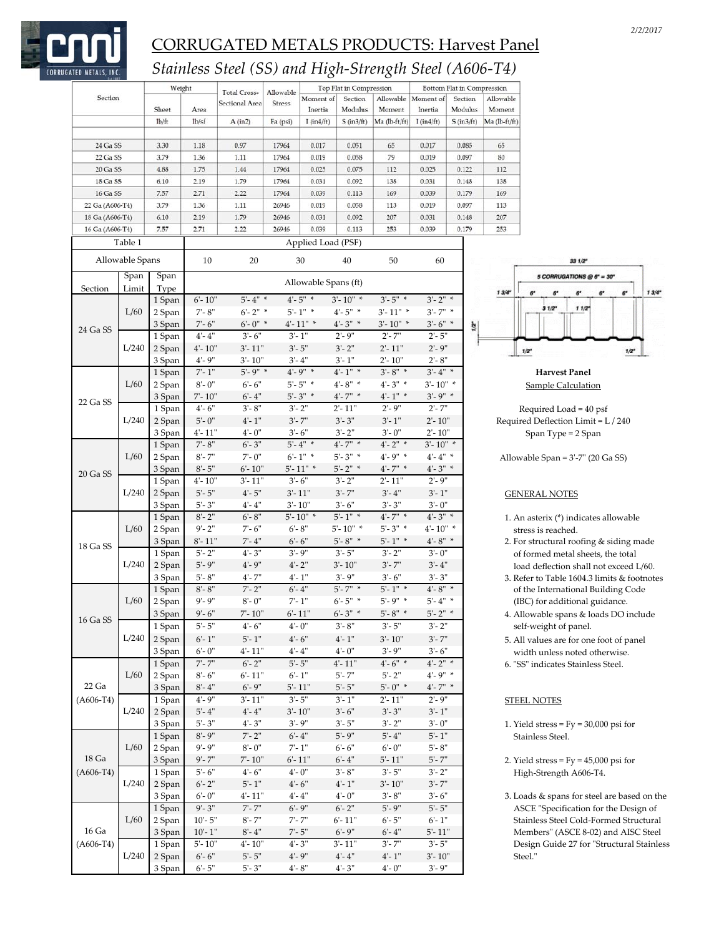

## *Stainless Steel (SS) and High‐Strength Steel (A606‐T4)*

|                 |                 | Weight  |              | Total Cross-   | Allowable                              |                      | Top Flat in Compression |               |                                                        | Bottom Flat in Compression |                         |
|-----------------|-----------------|---------|--------------|----------------|----------------------------------------|----------------------|-------------------------|---------------|--------------------------------------------------------|----------------------------|-------------------------|
| Section         |                 |         |              | Sectional Area | <b>Stress</b>                          | Moment of            | Section                 | Allowable     | Moment of                                              | Section                    | Allowable               |
|                 |                 | Sheet   | Area         |                |                                        | Inertia              | Modulus                 | Moment        | Inertia                                                | Modulus                    | Moment                  |
|                 |                 | $1b$ ft | lb/sf        | A (in2)        | Fa (psi)                               | $I$ (in $4/ft$ )     | $S$ (in $3/ft$ )        | Ma (lb-ft/ft) | $I$ (in 4/ft)                                          | $S$ (in $3/ft$ )           | Ma (lb-ft/ft)           |
| 24 Ga SS        |                 | 3.30    | 1.18         | 0.97           | 17964                                  | 0.017                | 0.051                   | 65            | 0.017                                                  | 0.085                      | 65                      |
| 22 Ga SS        |                 |         |              |                |                                        |                      |                         |               |                                                        |                            |                         |
|                 |                 | 3.79    | 1.36         | 1.11           | 17964                                  | 0.019                | 0.058                   | 79            | 0.019                                                  | 0.097                      | 80                      |
| 20 Ga SS        |                 | 4.88    | 1.75         | 1.44           | 17964                                  | 0.025                | 0.075                   | 112           | 0.025                                                  | 0.122                      | 112                     |
| 18 Ga SS        |                 | 6.10    | 2.19         | 1.79           | 17964                                  | 0.031                | 0.092                   | 138           | 0.031                                                  | 0.148                      | 138                     |
| 16 Ga SS        |                 | 7.57    | 2.71         | 2.22           | 17964                                  | 0.039                | 0.113                   | 169           | 0.039                                                  | 0.179                      | 169                     |
| 22 Ga (A606-T4) |                 | 3.79    | 1.36         | 1.11           | 26946                                  | 0.019                | 0.058                   | 113           | 0.019                                                  | 0.097                      | 113                     |
| 18 Ga (A606-T4) |                 | 6.10    | 2.19         | 1.79           | 26946                                  | 0.031                | 0.092                   | 207           | 0.031                                                  | 0.148                      | 207                     |
| 16 Ga (A606-T4) |                 | 7.57    | 2.71         | 2.22           | 26946                                  | 0.039                | 0.113                   | 253           | 0.039                                                  | 0.179                      | 253                     |
|                 | Table 1         |         |              |                |                                        | Applied Load (PSF)   |                         |               |                                                        |                            |                         |
|                 | Allowable Spans |         | 10           | 20             |                                        | 30                   | 40                      | 50            | 60                                                     |                            |                         |
|                 | Span            | Span    |              |                |                                        |                      |                         |               |                                                        |                            |                         |
| Section         | Limit           | Type    |              |                |                                        | Allowable Spans (ft) |                         |               |                                                        |                            | $13/4^{\circ}$          |
|                 |                 | 1 Span  | $6'$ - 10"   | $5' - 4''$ *   |                                        | $4 - 5"$ *           | $3'$ - $10''$ *         | $3' - 5''$ *  | $3' - 2''$ *                                           |                            |                         |
|                 | L/60            | 2 Span  | $7 - 8"$     | $6 - 2"$ *     |                                        | $5' - 1''$ *         | $4 - 5"$ *              | $3' - 11''$ * | $3'$ -7" *                                             |                            |                         |
|                 |                 | 3 Span  | $7 - 6"$     | $6' - 0''$ *   |                                        | $4 - 11"$ *          | $4 - 3"$ *              | $3'$ - 10" *  | $3'$ - 6" *                                            | ř.                         |                         |
| 24 Ga SS        |                 | 1 Span  | $4 - 4"$     | $3' - 6''$     | $3' - 1''$                             |                      | $2' - 9''$              | $2' - 7"$     | $2' - 5''$                                             |                            |                         |
|                 |                 |         |              |                |                                        |                      | $3' - 2''$              | $2' - 11"$    |                                                        |                            |                         |
|                 | L/240           | 2 Span  | $4 - 10"$    | $3' - 11"$     | $3' - 5"$                              |                      |                         |               | $2' - 9''$                                             |                            | 1/2"                    |
|                 |                 | 3 Span  | $4' - 9''$   | $3' - 10''$    | $3 - 4"$                               |                      | $3' - 1''$              | $2' - 10''$   | $2 - 8"$                                               |                            |                         |
|                 |                 | 1 Span  | $7 - 1"$     | $5' - 9''$ *   |                                        | $4' - 9''$ *         | $4' - 1''$ *            | $3' - 8''$ *  | $3' - 4''$ *                                           |                            |                         |
|                 | L/60            | 2 Span  | $8 - 0$ "    | $6 - 6"$       |                                        | $5' - 5''$ *         | $4 - 8"$ *              | $4 - 3"$ *    | $3'$ - 10" *                                           |                            | <u>Sai</u>              |
| 22 Ga SS        |                 | 3 Span  | $7 - 10"$    | $6 - 4"$       |                                        | $5' - 3''$ *         | $4'$ -7" *              | $4 - 1"$ *    | $3' - 9''$ *                                           |                            |                         |
|                 |                 | 1 Span  | $4' - 6''$   | $3' - 8''$     | $3' - 2''$                             |                      | $2' - 11"$              | $2' - 9''$    | $2' - 7''$                                             |                            | Requ                    |
|                 | L/240           | 2 Span  | $5 - 0"$     | $4' - 1''$     | $3' - 7"$                              |                      | $3' - 3''$              | $3' - 1''$    | $2' - 10''$                                            |                            | Required I              |
|                 |                 | 3 Span  | $4' - 11''$  | $4' - 0''$     | $3 - 6"$                               |                      | $3' - 2''$              | $3 - 0"$      | $2' - 10''$                                            |                            | Spa                     |
|                 |                 |         | $7 - 8"$     | $6' - 3"$      |                                        | $5' - 4''$ *         | $4'$ -7" *              | $4 - 2"$ *    | $3'$ - 10" *                                           |                            |                         |
|                 | L/60            | 1 Span  |              | $7 - 0"$       |                                        | $6 - 1"$ *           | $5' - 3''$ *            | $4 - 9"$ *    |                                                        |                            |                         |
|                 |                 | 2 Span  | $8 - 7"$     |                |                                        |                      |                         |               | $4 - 4"$ *                                             |                            | Allowable               |
| 20 Ga SS        |                 | 3 Span  | $8 - 5"$     | $6' - 10"$     |                                        | $5'$ -11" *          | $5' - 2''$ *            | $4'$ -7" *    | $4 - 3"$ *                                             |                            |                         |
|                 |                 | 1 Span  | $4'$ - $10"$ | $3' - 11"$     | $3' - 6''$                             |                      | $3' - 2''$              | $2' - 11"$    | $2 - 9"$                                               |                            |                         |
|                 | L/240           | 2 Span  | $5' - 5"$    | $4' - 5"$      | $3' - 11"$                             |                      | $3' - 7"$               | $3' - 4"$     | $3' - 1''$                                             |                            | <b>GENER</b>            |
|                 |                 | 3 Span  | $5' - 3"$    | $4 - 4"$       | $3' - 10''$                            |                      | $3' - 6''$              | $3' - 3''$    | $3' - 0''$                                             |                            |                         |
|                 |                 | 1 Span  | $8 - 2"$     | $6' - 8"$      |                                        | $5'$ -10" *          | $5' - 1''$ *            | $4' - 7''$ *  | $4 - 3"$ *                                             |                            | 1. An ast               |
|                 | L/60            | 2 Span  | $9' - 2"$    | $7 - 6"$       | $6 - 8"$                               |                      | $5'$ - $10''$ *         | $5' - 3''$ *  | $4'$ -10" *                                            |                            | stress                  |
|                 |                 | 3 Span  | $8'$ -11"    | $7 - 4"$       | $6 - 6"$                               |                      | $5' - 8''$ *            | $5'$ -1" *    | $4^{\circ}\textrm{-}8^{\circ\hspace{0.1cm}\textrm{*}}$ |                            | 2. For sti              |
| 18 Ga SS        |                 | 1 Span  | $5 - 2"$     | $4' - 3''$     | $3' - 9''$                             |                      | $3' - 5''$              | $3' - 2''$    | $3 - 0"$                                               |                            | of forr                 |
|                 | L/240           | 2 Span  | $5 - 9"$     | $4' - 9''$     | $4' - 2''$                             |                      | $3' - 10''$             | $3' - 7"$     | $3' - 4"$                                              |                            | load d                  |
|                 |                 | 3 Span  | $5' - 8"$    | $4'$ - $7"$    | $4' - 1''$                             |                      | $3' - 9''$              | $3' - 6"$     | $3' - 3''$                                             |                            |                         |
|                 |                 |         |              | $7 - 2"$       |                                        |                      | $5' - 7''$ *            | $5 - 1"$ *    | $4 - 8"$ *                                             |                            | 3. Refer                |
|                 |                 | 1 Span  | $8'$ - $8"$  |                | $6 - 4"$                               |                      |                         |               |                                                        |                            | of the                  |
|                 | L/60            | 2 Span  | $9' - 9''$   | $8 - 0$ "      | $7 - 1"$                               |                      | $6' - 5''$ *            | $5' - 9''$ *  | $5'$ -4" *                                             |                            | $({\rm IBC})$           |
| 16 Ga SS        |                 | 3 Span  | $9' - 6''$   | $7 - 10"$      | $6' - 11"$                             |                      | $6' - 3''$ *            | $5' - 8''$ *  | $5' - 2''$ *                                           |                            | 4. Allow                |
|                 |                 | 1 Span  | $5' - 5"$    | $4 - 6"$       | $4 - 0"$                               |                      | $3' - 8''$              | $3' - 5"$     | $3' - 2''$                                             |                            | self-w                  |
|                 | L/240           | 2 Span  | $6 - 1"$     | $5' - 1"$      | $4' - 6''$                             |                      | $4' - 1''$              | $3' - 10"$    | $3' - 7''$                                             |                            | 5. All va               |
|                 |                 | 3 Span  | $6 - 0"$     | $4 - 11"$      | $4 - 4"$                               |                      | $4 - 0"$                | $3' - 9''$    | $3' - 6''$                                             |                            | width                   |
|                 |                 | 1 Span  | $7' - 7"$    | $6 - 2"$       | $5' - 5"$                              |                      | $4'$ -11"               | $4 - 6"$ *    | $4 - 2"$ *                                             |                            | 6. "SS" ir              |
|                 | L/60            | 2 Span  | $8 - 6"$     | $6 - 11"$      | $6 - 1"$                               |                      | $5' - 7"$               | $5' - 2"$     | $4' - 9''$ *                                           |                            |                         |
| 22 Ga           |                 |         | $8 - 4"$     | $6' - 9''$     | $5'$ -11"                              |                      | $5 - 5"$                | $5 - 0"$ *    | $4'$ -7" *                                             |                            |                         |
|                 |                 | 3 Span  |              |                |                                        |                      |                         |               |                                                        |                            |                         |
| $(A606-T4)$     |                 | 1 Span  | $4' - 9''$   | $3' - 11"$     | $3' - 5"$                              |                      | $3' - 1''$              | $2' - 11"$    | $2' - 9''$                                             |                            | <b>STEEL N</b>          |
|                 | L/240           | 2 Span  | $5 - 4"$     | $4 - 4"$       | $3' - 10"$                             |                      | $3' - 6''$              | $3' - 3''$    | $3' - 1''$                                             |                            |                         |
|                 |                 | 3 Span  | $5' - 3"$    | $4' - 3''$     | $3' - 9''$                             |                      | $3' - 5"$               | $3' - 2''$    | $3 - 0"$                                               |                            | 1. Yield:               |
|                 |                 | 1 Span  | $8 - 9"$     | $7 - 2"$       | $6 - 4"$                               |                      | $5' - 9''$              | $5 - 4"$      | $5' - 1''$                                             |                            | Stainle                 |
|                 | L/60            | 2 Span  | $9' - 9''$   | $8 - 0"$       | $7^{\circ}\text{-} 1^{\circ\circ}$     |                      | $6 - 6"$                | $6 - 0"$      | $5' - 8"$                                              |                            |                         |
| 18 Ga           |                 | 3 Span  | $9' - 7''$   | $7 - 10"$      | $6 - 11"$                              |                      | $6 - 4"$                | $5' - 11"$    | $5' - 7"$                                              |                            | 2. Yield:               |
| $(A606-T4)$     |                 | 1 Span  | $5 - 6"$     | $4 - 6$        | $4 - 0"$                               |                      | $3' - 8''$              | $3' - 5"$     | $3' - 2''$                                             |                            | High-                   |
|                 |                 | 2 Span  | $6 - 2"$     | $5 - 1"$       | $4' - 6''$                             |                      | $4' - 1''$              | $3' - 10"$    | $3'$ - $7"$                                            |                            |                         |
|                 |                 |         |              |                | $4 - 4"$                               |                      | $4' - 0''$              | $3 - 8"$      |                                                        |                            |                         |
|                 | L/240           |         |              |                |                                        |                      |                         |               | $3' - 6"$                                              |                            | 3. Loads                |
|                 |                 | 3 Span  | $6 - 0"$     | 4'- 11"        |                                        |                      |                         |               |                                                        |                            |                         |
|                 |                 | 1 Span  | $9' - 3''$   | $7' - 7"$      | $6' - 9''$                             |                      | $6 - 2"$                | $5' - 9''$    | $5' - 5"$                                              |                            |                         |
|                 | L/60            | 2 Span  | $10' - 5"$   | $8'$ - $7"$    | $7 - 7"$                               |                      | $6' - 11"$              | $6' - 5"$     | $6 - 1"$                                               |                            |                         |
| 16 Ga           |                 | 3 Span  | $10' - 1"$   | $8 - 4"$       | $7 - 5"$                               |                      | $6' - 9''$              | $6 - 4"$      | $5' - 11"$                                             |                            | ASCE<br>Stainle<br>Memb |
| $(A606-T4)$     |                 | 1 Span  | $5' - 10"$   | $4' - 10''$    | $4 - 3"$                               |                      | $3' - 11"$              | $3' - 7"$     | $3' - 5''$                                             |                            | Design                  |
|                 | L/240           | 2 Span  | $6 - 6"$     | $5 - 5"$       | $4^{\circ}\text{-}$ $9^{\circ}\text{}$ |                      | $4 - 4"$                | $4 - 1"$      | $3' - 10"$                                             |                            | Steel."                 |



Harvest Panel Sample Calculation

Required Load = 40 psf equired Deflection Limit = L / 240 Span Type = 2 Span

Ilowable Span = 3'-7" (20 Ga SS)

### GENERAL NOTES

- 1. An asterix (\*) indicates allowable stress is reached.
- 2. For structural roofing & siding made of formed metal sheets, the total load deflection shall not exceed L/60.
- 3. Refer to Table 1604.3 limits & footnotes of the International Building Code (IBC) for additional guidance.
- 4. Allowable spans & loads DO include self-weight of panel.
- 5. All values are for one foot of panel width unless noted otherwise.
- 6. "SS" indicates Stainless Steel.

### **STEEL NOTES**

- 1. Yield stress  $=$  Fy  $=$  30,000 psi for Stainless Steel.
- 2. Yield stress  $=$  Fy  $=$  45,000 psi for High-Strength A606-T4.
- 3. Loads  $\&$  spans for steel are based on the ASCE "Specification for the Design of Stainless Steel Cold-Formed Structural Members" (ASCE 8-02) and AISC Steel Design Guide 27 for "Structural Stainless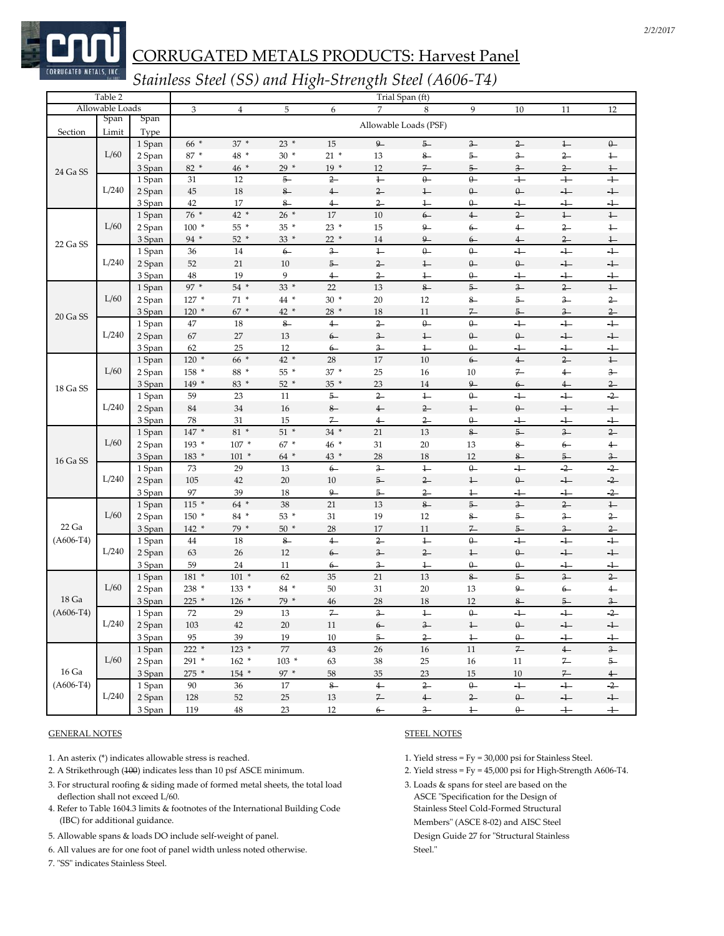

## *Stainless Steel (SS) and High‐Strength Steel (A606‐T4)*

|             | Table 2         |                  |                |                          |              |                         |                         | Trial Span (ft)       |                            |                            |                |                            |
|-------------|-----------------|------------------|----------------|--------------------------|--------------|-------------------------|-------------------------|-----------------------|----------------------------|----------------------------|----------------|----------------------------|
|             | Allowable Loads |                  | $\mathfrak{Z}$ | $\overline{4}$           | $\mathbf 5$  | 6                       | $\overline{7}$          | 8                     | 9                          | 10                         | 11             | $12\,$                     |
| Section     | Span<br>Limit   | Span<br>Type     |                |                          |              |                         |                         | Allowable Loads (PSF) |                            |                            |                |                            |
|             |                 | 1 Span           | 66 *           | $37*$                    | $23*$        | 15                      | $\overline{9}$          | $5 -$                 | $\frac{3}{2}$              | $2-$                       | $\ddagger$     | $\theta$                   |
|             | L/60            | 2 Span           | 87 *           | 48 *                     | $30*$        | $21 *$                  | 13                      | $8-$                  | $5-$                       | $3 -$                      | $2-$           | $1 -$                      |
|             |                 | 3 Span           | 82 *           | 46 *                     | $29 *$       | $19*$                   | 12                      | $7-$                  | $5-$                       | $3 -$                      | $2 -$          | $1 -$                      |
| 24 Ga SS    |                 | 1 Span           | 31             | 12                       | $5-$         | $2-$                    | $1 -$                   | $0-$                  | $0-$                       | $\overline{+}$             | $+$            | $+$                        |
|             | L/240           | 2 Span           | 45             | 18                       | $8\hbox{--}$ | $4-$                    | $\overline{2}$          | $1 -$                 | $\theta-$                  | $\theta-$                  | $+$            | $+$                        |
|             |                 | 3 Span           | 42             | 17                       | $8-$         | $\overline{4}$          | $\overline{2}$          | $\ddagger$            | $\theta -$                 | $+$                        | $+$            | $+$                        |
|             |                 | 1 Span           | $76*$          | 42 *                     | $26*$        | 17                      | $10\,$                  | $6-$                  | $\overline{4}$             | $2-$                       | $1 -$          | $\ddagger$                 |
|             | L/60            | 2 Span           | $100 *$        | 55 *                     | 35 *         | $23*$                   | 15                      | $9-$                  | $6-$                       | $\leftarrow$               | $2-$           | $1 -$                      |
|             |                 | 3 Span           | 94 $*$         | $52*$                    | 33 *         | $22*$                   | 14                      | $9-$                  | $6-$                       | $\overline{4}$             | $\overline{2}$ | $1\hskip-3.5pt-\hskip-3pt$ |
| 22 Ga SS    |                 | 1 Span           | 36             | 14                       | $6-$         | $\overline{\mathbf{3}}$ | $\leftarrow$            | $\theta$              | $\theta -$                 | $+$                        | $\overline{1}$ | $+$                        |
|             | L/240           | 2 Span           | 52             | 21                       | 10           | $5-$                    | $2-$                    | $1 -$                 | $\theta$                   | $\theta$                   | $+$            | $+$                        |
|             |                 | 3 Span           | 48             | 19                       | 9            | $\overline{4}$          | $^{2-}$                 | $^{1-}$               | $\theta -$                 | $^+$                       | $^+$           | $+$                        |
|             |                 | 1 Span           | $97*$          | 54 *                     | $33*$        | 22                      | 13                      | $8-$                  | $5-$                       | $3-$                       | $\overline{2}$ | $\perp$                    |
|             | L/60            | 2 Span           | 127 *          | $71*$                    | 44 *         | $30*$                   | 20                      | 12                    | $8-$                       | 5                          | $\frac{3}{2}$  | $\overline{2}$             |
|             |                 | 3 Span           | $120*$         | $67*$                    | $42*$        | $28*$                   | 18                      | 11                    | $\overline{r}$             | $5 -$                      | $\frac{3}{2}$  | $^{2-}$                    |
| 20 Ga SS    |                 | 1 Span           | 47             | 18                       | $8-$         | $4-$                    | $\overline{2}$          | $\theta$              | $\theta$                   | $+$                        | $\overline{+}$ | $\ddot{+}$                 |
|             | L/240           | 2 Span           | 67             | 27                       | 13           | $6-$                    | $3 -$                   | $1 -$                 | $\theta$                   | $\theta$                   | $+$            | $+$                        |
|             |                 | 3 Span           | 62             | 25                       | 12           | $6-$                    | $\overline{\mathbf{3}}$ | $\overline{1}$        | Q.                         | $\overline{\phantom{a}^+}$ | $+$            | $\pm$                      |
|             |                 | 1 Span           | $120*$         | $66*$                    | $42*$        | 28                      | 17                      | 10                    | $6-$                       | $\overline{4}$             | $\overline{2}$ | $1 -$                      |
|             | L/60            | 2 Span           | 158 *          | 88 *                     | 55 *         | $37*$                   | 25                      | 16                    | 10                         | $7-$                       | $\overline{4}$ | $3-$                       |
|             |                 | 3 Span           | 149 *          | 83 *                     | $52*$        | 35 *                    | 23                      | 14                    | $9-$                       | $6-$                       |                | $\frac{2}{ }$              |
| 18 Ga SS    |                 | 1 Span           | 59             | 23                       | 11           | $5-$                    | $\overline{2}$          | $1 -$                 | $\theta$                   | $+$                        | $^{4-}$<br>$+$ | $\overline{2}$             |
|             | L/240           | 2 Span           | 84             | 34                       | 16           | $8\hbox{--}$            | $4-$                    | $2-$                  | $\overline{1}$             | $\theta-$                  | $+$            | $\!+$                      |
|             |                 | 3 Span           | 78             | 31                       | 15           | 7                       | $\overline{4}$          | $\overline{2}$        | Q.                         | ┹                          | $\div$         | $\div$                     |
|             |                 | 1 Span           | 147 *          | 81 *                     | $51*$        | $34 *$                  | 21                      | 13                    | $8-$                       | $5-$                       | $3 -$          | $2-$                       |
|             | L/60            | 2 Span           | $193 *$        | $107 *$                  | 67 *         | 46 *                    | 31                      | 20                    | 13                         | $8-$                       | $6-$           | $4 -$                      |
|             |                 | 3 Span           | 183 *          | $101 *$                  | 64 *         | 43 *                    | 28                      | 18                    | 12                         | $8-$                       | $5 -$          | $3 -$                      |
| 16 Ga SS    |                 | 1 Span           | 73             | 29                       | 13           | $6-$                    | $3-$                    | $1 -$                 | $0-$                       | $+$                        | $\overline{2}$ | $\overline{2}$             |
|             | L/240           | 2 Span           | 105            | 42                       | 20           | $10\,$                  | $5-$                    | $2-$                  | $1 -$                      | $\theta$                   | $\overline{+}$ | $\overline{2}$             |
|             |                 | 3 Span           | 97             | 39                       | 18           | $\mathbf{Q}$            | $5 -$                   | $2 -$                 | $^{1-}$                    | $+$                        | $+$            | $\overline{2}$             |
|             |                 | 1 Span           | $115 *$        | 64 *                     | 38           | 21                      | 13                      | $8-$                  | $5-$                       | $3 -$                      | $2-$           | $1 -$                      |
|             | L/60            | 2 Span           | 150 *          | 84 *                     | 53 *         | 31                      | 19                      | 12                    | $8-$                       | 5-                         | $3 -$          | $2-$                       |
| 22 Ga       |                 | 3 Span           | $142 *$        | 79 *                     | $50*$        | $28\,$                  | 17                      | 11                    | $\overline{r}$             | $5 -$                      | $\frac{3}{2}$  | $2-$                       |
| $(A606-T4)$ |                 | 1 Span           | 44             | 18                       | $8-$         | $4-$                    | $2 -$                   | $1 -$                 | $0-$                       | $+$                        | $+$            | $+$                        |
|             | L/240           | 2 Span           | 63             | 26                       | 12           | $6-$                    | $3-$                    | $2-$                  | $1\hskip-3.5pt-\hskip-3pt$ | $0-$                       | $+$            | $+$                        |
|             |                 | 3 Span           | 59             | 24                       | 11           | $6 -$                   | $3 -$                   | $1 -$                 | $\theta$                   | $\theta$                   | $+$            | $+$                        |
|             |                 | 1 Span           | $181 *$        | $101 *$                  | 62           | 35                      | 21                      | 13                    | $8-$                       | $5-$                       | $3-$           | $2-$                       |
|             | L/60            | 2 Span           | 238 *          | 133 *                    | 84 *         | 50                      | 31                      | $20\,$                | 13                         | 9                          | $6-$           | $\leftarrow$               |
| 18 Ga       |                 | 3 Span           | 225 *          | $126*$                   | 79 *         | 46                      | 28                      | 18                    | 12                         | 8                          | $5 -$          | $3-$                       |
| $(A606-T4)$ |                 | 1 Span           | $72\,$         | 29                       | 13           | $\overline{r}$          | $\overline{\mathbf{3}}$ | $\leftarrow$          | $\theta -$                 | $+$                        | $\overline{+}$ | $\overline{2}$             |
|             | L/240           |                  |                |                          |              |                         |                         |                       |                            |                            |                |                            |
|             |                 | 2 Span<br>3 Span | 103<br>95      | 42<br>39                 | 20<br>19     | 11<br>10                | $6 -$<br>$5-$           | $3 -$<br>$2-$         | $\ddagger$<br>$\ddagger$   | $\theta -$<br>$\theta-$    | $+$<br>$+$     | $+$<br>$+$                 |
|             |                 | 1 Span           | $222 *$        | $123 *$                  | $77\,$       | $43\,$                  | $26\,$                  | $16\,$                | $11\,$                     | $\mathbb Z$                | $4\hbox{--}$   | $\overline{3}$             |
|             | L/60            | 2 Span           | 291 *          | $162 *$                  | $103 *$      | 63                      | $38\,$                  | 25                    | $16\,$                     | 11                         | $7 -$          | $5-$                       |
| 16 Ga       |                 | 3 Span           | 275 *          | $154$ $\hspace{0.1cm}^*$ | $97 *$       | $58\,$                  | 35                      | $23\,$                | $15\,$                     | $10\,$                     | $\mathbb Z_-$  | $\overline{4}$             |
| $(A606-T4)$ |                 | 1 Span           | 90             | 36                       | 17           | $\frac{8}{3}$           | $\overline{4}$          | $\overline{2}$        | $\theta-$                  | $+$                        | $\overline{+}$ | $\overline{2}$             |
|             | L/240           | 2 Span           | 128            | $52\,$                   | $25\,$       | $13\,$                  | $\mathbb Z_-$           | $\leftarrow$          | $2-$                       | $0-$                       | $+$            | $\ensuremath{\leftarrow}$  |
|             |                 | 3 Span           | 119            | $\rm 48$                 | 23           | 12                      | $6-$                    | $\frac{3}{2}$         | $\leftarrow$               | $0-$                       | $+$            | $+$                        |
|             |                 |                  |                |                          |              |                         |                         |                       |                            |                            |                |                            |

### GENERAL NOTES STEEL NOTES

- 1. An asterix (\*) indicates allowable stress is reached. 1. Yield stress = Fy = 30,000 psi for Stainless Steel.
- 2. A Strikethrough (100) indicates less than 10 psf ASCE minimum. 2. Yield stress = Fy = 45,000 psi for High‐Strength A606‐T4.
- 3. For structural roofing & siding made of formed metal sheets, the total load 3. Loads & spans for steel are based on the deflection shall not exceed L/60. ASCE "Specification for the Design of
- 4. Refer to Table 1604.3 limits & footnotes of the International Building Code Stainless Steel Cold-Formed Structural (IBC) for additional guidance. Members<sup>"</sup> (ASCE 8-02) and AISC Steel
- 5. Allowable spans & loads DO include self-weight of panel. Design Guide 27 for "Structural Stainless"
- 6. All values are for one foot of panel width unless noted otherwise. Steel."
- 7. "SS" indicates Stainless Steel.

- 
- 
-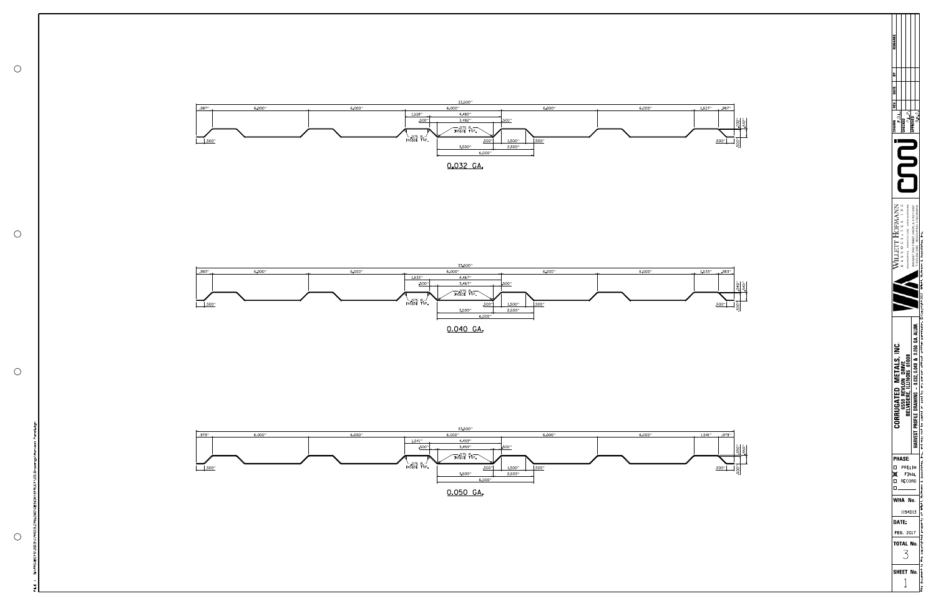

|                                    | J<br>ſ<br>¤<br>I<br>С<br>נ<br>ſ |             |                         |       |  | EMARKS |
|------------------------------------|---------------------------------|-------------|-------------------------|-------|--|--------|
| FEB                                |                                 | ں<br>2<br>f |                         | ì     |  |        |
| DATE:<br>TOTAL<br>SHEET            | <b>PHASE</b>                    | ï<br>ì<br>ï |                         | EGKEI |  |        |
| <b>NHA No</b><br>1194D13<br>, 2017 | PRELIM<br>FINAL<br>RECORD       |             | NGINEERING ARCHITECTURE | į     |  |        |
| No<br>No                           |                                 |             | :                       |       |  |        |
|                                    |                                 | l           |                         |       |  |        |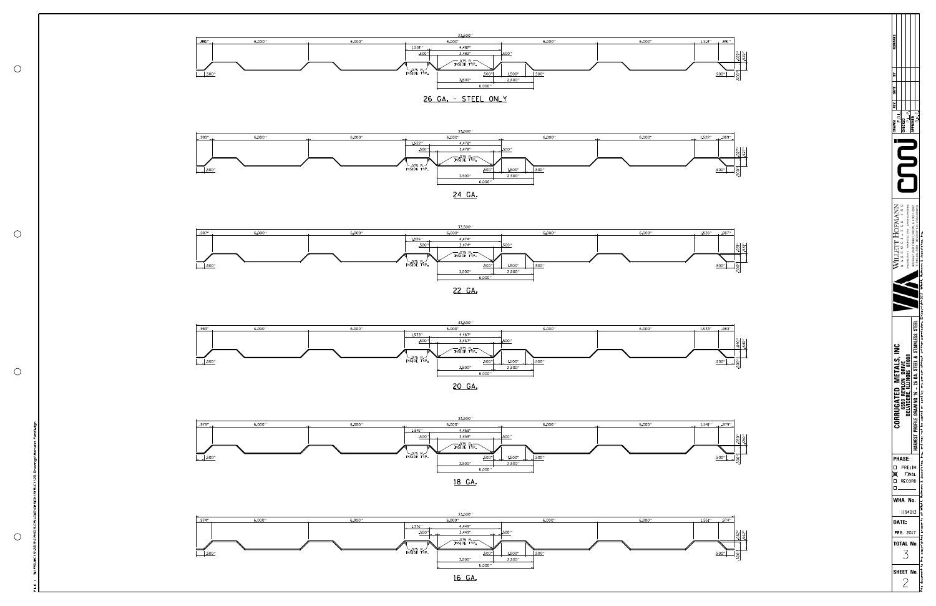

| <b>IECKED</b>                                                                                                                       |                   |
|-------------------------------------------------------------------------------------------------------------------------------------|-------------------|
|                                                                                                                                     |                   |
| VERING                                                                                                                              |                   |
|                                                                                                                                     |                   |
|                                                                                                                                     |                   |
| 2<br>Ś<br>֖֬֕֓֕֓֕֓֕֓֡֡֡֡֡֡֡֡֡<br>Ļ<br>ì<br>ı<br>Ē<br>į<br>j<br>1<br>$\frac{1}{2}$<br>ź<br>1<br>Ĺ<br>ن<br>i<br>ļ<br>œ<br>í<br>ſ<br>ະ | ð<br>$\mathbf{I}$ |
| <b>PHASE:</b><br>PRELIM<br>J<br>ſ<br>FINAL<br>¤<br>RECORD<br>J<br>С<br>ı<br>C<br><b>NHA No</b>                                      |                   |
| 1194D13<br>DATE:<br>FEB. 2017<br>TOTAL No.                                                                                          |                   |